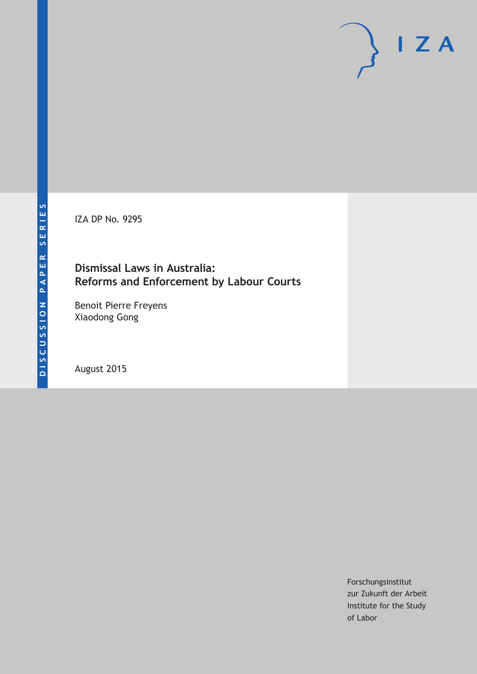IZA DP No. 9295

## **Dismissal Laws in Australia: Reforms and Enforcement by Labour Courts**

Benoit Pierre Freyens Xiaodong Gong

August 2015

Forschungsinstitut zur Zukunft der Arbeit Institute for the Study of Labor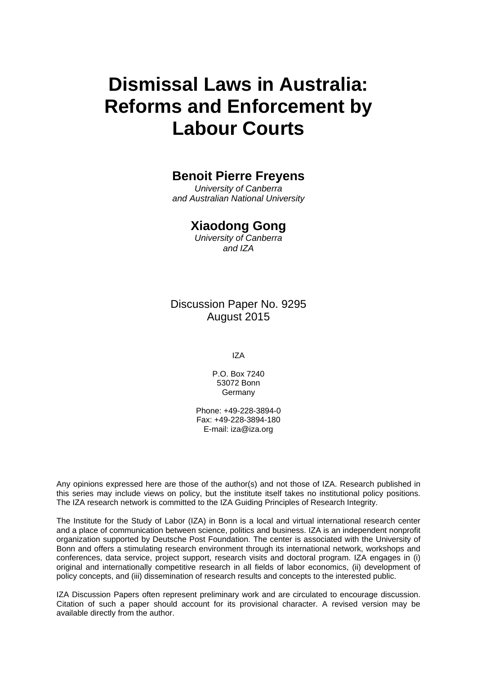# **Dismissal Laws in Australia: Reforms and Enforcement by Labour Courts**

# **Benoit Pierre Freyens**

*University of Canberra and Australian National University* 

### **Xiaodong Gong**

*University of Canberra and IZA* 

Discussion Paper No. 9295 August 2015

IZA

P.O. Box 7240 53072 Bonn **Germany** 

Phone: +49-228-3894-0 Fax: +49-228-3894-180 E-mail: iza@iza.org

Any opinions expressed here are those of the author(s) and not those of IZA. Research published in this series may include views on policy, but the institute itself takes no institutional policy positions. The IZA research network is committed to the IZA Guiding Principles of Research Integrity.

The Institute for the Study of Labor (IZA) in Bonn is a local and virtual international research center and a place of communication between science, politics and business. IZA is an independent nonprofit organization supported by Deutsche Post Foundation. The center is associated with the University of Bonn and offers a stimulating research environment through its international network, workshops and conferences, data service, project support, research visits and doctoral program. IZA engages in (i) original and internationally competitive research in all fields of labor economics, (ii) development of policy concepts, and (iii) dissemination of research results and concepts to the interested public.

IZA Discussion Papers often represent preliminary work and are circulated to encourage discussion. Citation of such a paper should account for its provisional character. A revised version may be available directly from the author.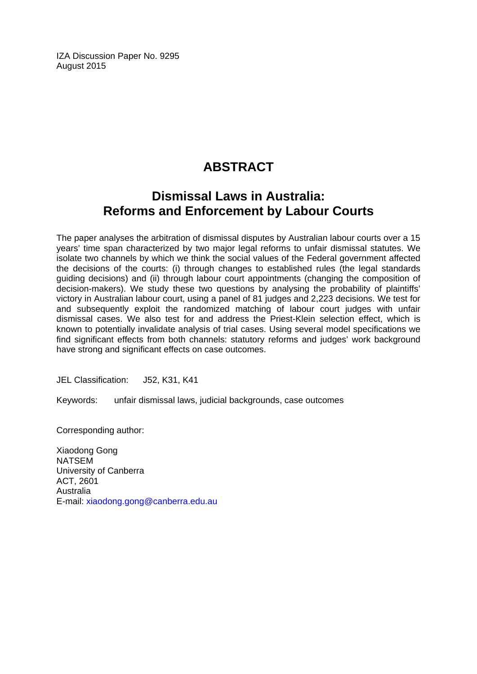IZA Discussion Paper No. 9295 August 2015

# **ABSTRACT**

# **Dismissal Laws in Australia: Reforms and Enforcement by Labour Courts**

The paper analyses the arbitration of dismissal disputes by Australian labour courts over a 15 years' time span characterized by two major legal reforms to unfair dismissal statutes. We isolate two channels by which we think the social values of the Federal government affected the decisions of the courts: (i) through changes to established rules (the legal standards guiding decisions) and (ii) through labour court appointments (changing the composition of decision-makers). We study these two questions by analysing the probability of plaintiffs' victory in Australian labour court, using a panel of 81 judges and 2,223 decisions. We test for and subsequently exploit the randomized matching of labour court judges with unfair dismissal cases. We also test for and address the Priest-Klein selection effect, which is known to potentially invalidate analysis of trial cases. Using several model specifications we find significant effects from both channels: statutory reforms and judges' work background have strong and significant effects on case outcomes.

JEL Classification: J52, K31, K41

Keywords: unfair dismissal laws, judicial backgrounds, case outcomes

Corresponding author:

Xiaodong Gong NATSEM University of Canberra ACT, 2601 Australia E-mail: xiaodong.gong@canberra.edu.au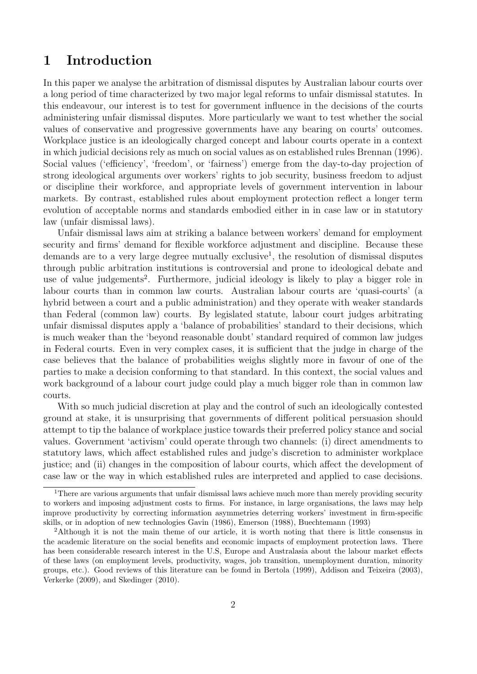# **1 Introduction**

In this paper we analyse the arbitration of dismissal disputes by Australian labour courts over a long period of time characterized by two major legal reforms to unfair dismissal statutes. In this endeavour, our interest is to test for government influence in the decisions of the courts administering unfair dismissal disputes. More particularly we want to test whether the social values of conservative and progressive governments have any bearing on courts' outcomes. Workplace justice is an ideologically charged concept and labour courts operate in a context in which judicial decisions rely as much on social values as on established rules Brennan (1996). Social values ('efficiency', 'freedom', or 'fairness') emerge from the day-to-day projection of strong ideological arguments over workers' rights to job security, business freedom to adjust or discipline their workforce, and appropriate levels of government intervention in labour markets. By contrast, established rules about employment protection reflect a longer term evolution of acceptable norms and standards embodied either in in case law or in statutory law (unfair dismissal laws).

Unfair dismissal laws aim at striking a balance between workers' demand for employment security and firms' demand for flexible workforce adjustment and discipline. Because these demands are to a very large degree mutually exclusive<sup>1</sup>, the resolution of dismissal disputes through public arbitration institutions is controversial and prone to ideological debate and use of value judgements<sup>2</sup>. Furthermore, judicial ideology is likely to play a bigger role in labour courts than in common law courts. Australian labour courts are 'quasi-courts' (a hybrid between a court and a public administration) and they operate with weaker standards than Federal (common law) courts. By legislated statute, labour court judges arbitrating unfair dismissal disputes apply a 'balance of probabilities' standard to their decisions, which is much weaker than the 'beyond reasonable doubt' standard required of common law judges in Federal courts. Even in very complex cases, it is sufficient that the judge in charge of the case believes that the balance of probabilities weighs slightly more in favour of one of the parties to make a decision conforming to that standard. In this context, the social values and work background of a labour court judge could play a much bigger role than in common law courts.

With so much judicial discretion at play and the control of such an ideologically contested ground at stake, it is unsurprising that governments of different political persuasion should attempt to tip the balance of workplace justice towards their preferred policy stance and social values. Government 'activism' could operate through two channels: (i) direct amendments to statutory laws, which affect established rules and judge's discretion to administer workplace justice; and (ii) changes in the composition of labour courts, which affect the development of case law or the way in which established rules are interpreted and applied to case decisions.

<sup>&</sup>lt;sup>1</sup>There are various arguments that unfair dismissal laws achieve much more than merely providing security to workers and imposing adjustment costs to firms. For instance, in large organisations, the laws may help improve productivity by correcting information asymmetries deterring workers' investment in firm-specific skills, or in adoption of new technologies Gavin (1986), Emerson (1988), Buechtemann (1993)

<sup>2</sup>Although it is not the main theme of our article, it is worth noting that there is little consensus in the academic literature on the social benefits and economic impacts of employment protection laws. There has been considerable research interest in the U.S, Europe and Australasia about the labour market effects of these laws (on employment levels, productivity, wages, job transition, unemployment duration, minority groups, etc.). Good reviews of this literature can be found in Bertola (1999), Addison and Teixeira (2003), Verkerke (2009), and Skedinger (2010).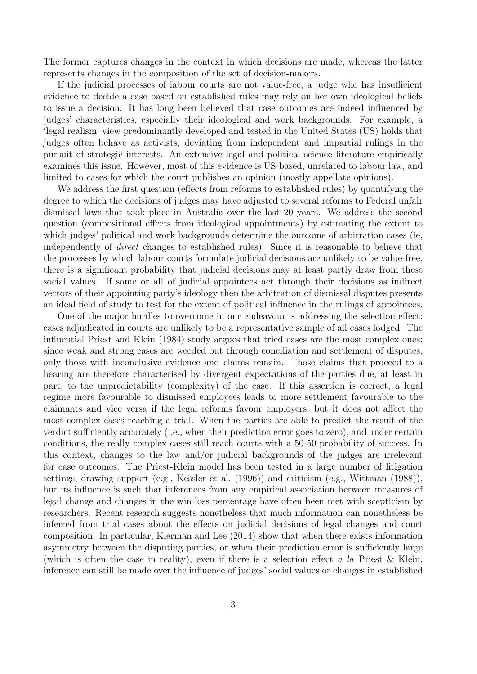The former captures changes in the context in which decisions are made, whereas the latter represents changes in the composition of the set of decision-makers.

If the judicial processes of labour courts are not value-free, a judge who has insufficient evidence to decide a case based on established rules may rely on her own ideological beliefs to issue a decision. It has long been believed that case outcomes are indeed influenced by judges' characteristics, especially their ideological and work backgrounds. For example, a 'legal realism' view predominantly developed and tested in the United States (US) holds that judges often behave as activists, deviating from independent and impartial rulings in the pursuit of strategic interests. An extensive legal and political science literature empirically examines this issue. However, most of this evidence is US-based, unrelated to labour law, and limited to cases for which the court publishes an opinion (mostly appellate opinions).

We address the first question (effects from reforms to established rules) by quantifying the degree to which the decisions of judges may have adjusted to several reforms to Federal unfair dismissal laws that took place in Australia over the last 20 years. We address the second question (compositional effects from ideological appointments) by estimating the extent to which judges' political and work backgrounds determine the outcome of arbitration cases (ie, independently of *direct* changes to established rules). Since it is reasonable to believe that the processes by which labour courts formulate judicial decisions are unlikely to be value-free, there is a significant probability that judicial decisions may at least partly draw from these social values. If some or all of judicial appointees act through their decisions as indirect vectors of their appointing party's ideology then the arbitration of dismissal disputes presents an ideal field of study to test for the extent of political influence in the rulings of appointees.

One of the major hurdles to overcome in our endeavour is addressing the selection effect: cases adjudicated in courts are unlikely to be a representative sample of all cases lodged. The influential Priest and Klein (1984) study argues that tried cases are the most complex ones: since weak and strong cases are weeded out through conciliation and settlement of disputes, only those with inconclusive evidence and claims remain. Those claims that proceed to a hearing are therefore characterised by divergent expectations of the parties due, at least in part, to the unpredictability (complexity) of the case. If this assertion is correct, a legal regime more favourable to dismissed employees leads to more settlement favourable to the claimants and vice versa if the legal reforms favour employers, but it does not affect the most complex cases reaching a trial. When the parties are able to predict the result of the verdict sufficiently accurately (i.e., when their prediction error goes to zero), and under certain conditions, the really complex cases still reach courts with a 50-50 probability of success. In this context, changes to the law and/or judicial backgrounds of the judges are irrelevant for case outcomes. The Priest-Klein model has been tested in a large number of litigation settings, drawing support (e.g., Kessler et al. (1996)) and criticism (e.g., Wittman (1988)), but its influence is such that inferences from any empirical association between measures of legal change and changes in the win-loss percentage have often been met with scepticism by researchers. Recent research suggests nonetheless that much information can nonetheless be inferred from trial cases about the effects on judicial decisions of legal changes and court composition. In particular, Klerman and Lee (2014) show that when there exists information asymmetry between the disputing parties, or when their prediction error is sufficiently large (which is often the case in reality), even if there is a selection effect *a la* Priest & Klein, inference can still be made over the influence of judges' social values or changes in established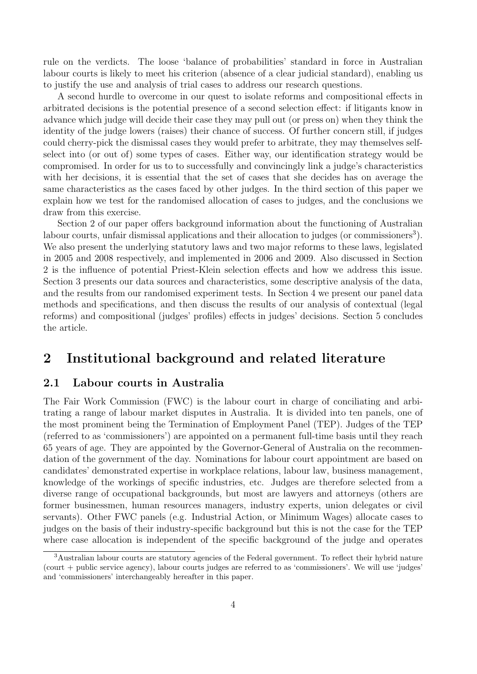rule on the verdicts. The loose 'balance of probabilities' standard in force in Australian labour courts is likely to meet his criterion (absence of a clear judicial standard), enabling us to justify the use and analysis of trial cases to address our research questions.

A second hurdle to overcome in our quest to isolate reforms and compositional effects in arbitrated decisions is the potential presence of a second selection effect: if litigants know in advance which judge will decide their case they may pull out (or press on) when they think the identity of the judge lowers (raises) their chance of success. Of further concern still, if judges could cherry-pick the dismissal cases they would prefer to arbitrate, they may themselves selfselect into (or out of) some types of cases. Either way, our identification strategy would be compromised. In order for us to to successfully and convincingly link a judge's characteristics with her decisions, it is essential that the set of cases that she decides has on average the same characteristics as the cases faced by other judges. In the third section of this paper we explain how we test for the randomised allocation of cases to judges, and the conclusions we draw from this exercise.

Section 2 of our paper offers background information about the functioning of Australian labour courts, unfair dismissal applications and their allocation to judges (or commissioners<sup>3</sup>). We also present the underlying statutory laws and two major reforms to these laws, legislated in 2005 and 2008 respectively, and implemented in 2006 and 2009. Also discussed in Section 2 is the influence of potential Priest-Klein selection effects and how we address this issue. Section 3 presents our data sources and characteristics, some descriptive analysis of the data, and the results from our randomised experiment tests. In Section 4 we present our panel data methods and specifications, and then discuss the results of our analysis of contextual (legal reforms) and compositional (judges' profiles) effects in judges' decisions. Section 5 concludes the article.

## **2 Institutional background and related literature**

### **2.1 Labour courts in Australia**

The Fair Work Commission (FWC) is the labour court in charge of conciliating and arbitrating a range of labour market disputes in Australia. It is divided into ten panels, one of the most prominent being the Termination of Employment Panel (TEP). Judges of the TEP (referred to as 'commissioners') are appointed on a permanent full-time basis until they reach 65 years of age. They are appointed by the Governor-General of Australia on the recommendation of the government of the day. Nominations for labour court appointment are based on candidates' demonstrated expertise in workplace relations, labour law, business management, knowledge of the workings of specific industries, etc. Judges are therefore selected from a diverse range of occupational backgrounds, but most are lawyers and attorneys (others are former businessmen, human resources managers, industry experts, union delegates or civil servants). Other FWC panels (e.g. Industrial Action, or Minimum Wages) allocate cases to judges on the basis of their industry-specific background but this is not the case for the TEP where case allocation is independent of the specific background of the judge and operates

<sup>3</sup>Australian labour courts are statutory agencies of the Federal government. To reflect their hybrid nature (court + public service agency), labour courts judges are referred to as 'commissioners'. We will use 'judges' and 'commissioners' interchangeably hereafter in this paper.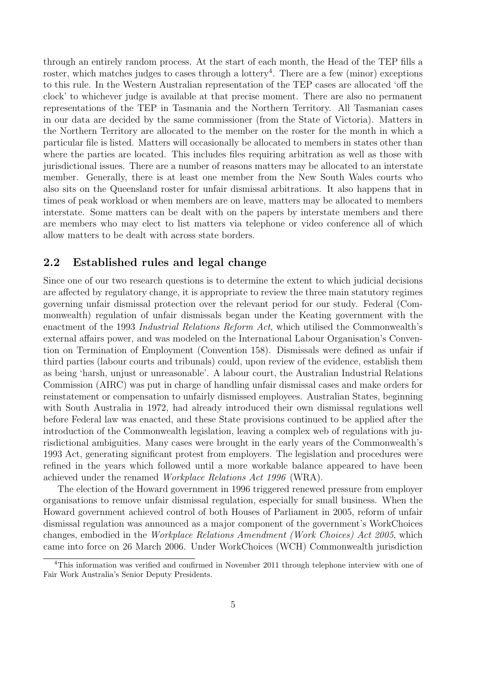through an entirely random process. At the start of each month, the Head of the TEP fills a roster, which matches judges to cases through a lottery<sup>4</sup>. There are a few (minor) exceptions to this rule. In the Western Australian representation of the TEP cases are allocated 'off the clock' to whichever judge is available at that precise moment. There are also no permanent representations of the TEP in Tasmania and the Northern Territory. All Tasmanian cases in our data are decided by the same commissioner (from the State of Victoria). Matters in the Northern Territory are allocated to the member on the roster for the month in which a particular file is listed. Matters will occasionally be allocated to members in states other than where the parties are located. This includes files requiring arbitration as well as those with jurisdictional issues. There are a number of reasons matters may be allocated to an interstate member. Generally, there is at least one member from the New South Wales courts who also sits on the Queensland roster for unfair dismissal arbitrations. It also happens that in times of peak workload or when members are on leave, matters may be allocated to members interstate. Some matters can be dealt with on the papers by interstate members and there are members who may elect to list matters via telephone or video conference all of which allow matters to be dealt with across state borders.

### **2.2 Established rules and legal change**

Since one of our two research questions is to determine the extent to which judicial decisions are affected by regulatory change, it is appropriate to review the three main statutory regimes governing unfair dismissal protection over the relevant period for our study. Federal (Commonwealth) regulation of unfair dismissals began under the Keating government with the enactment of the 1993 *Industrial Relations Reform Act*, which utilised the Commonwealth's external affairs power, and was modeled on the International Labour Organisation's Convention on Termination of Employment (Convention 158). Dismissals were defined as unfair if third parties (labour courts and tribunals) could, upon review of the evidence, establish them as being 'harsh, unjust or unreasonable'. A labour court, the Australian Industrial Relations Commission (AIRC) was put in charge of handling unfair dismissal cases and make orders for reinstatement or compensation to unfairly dismissed employees. Australian States, beginning with South Australia in 1972, had already introduced their own dismissal regulations well before Federal law was enacted, and these State provisions continued to be applied after the introduction of the Commonwealth legislation, leaving a complex web of regulations with jurisdictional ambiguities. Many cases were brought in the early years of the Commonwealth's 1993 Act, generating significant protest from employers. The legislation and procedures were refined in the years which followed until a more workable balance appeared to have been achieved under the renamed *Workplace Relations Act 1996* (WRA).

The election of the Howard government in 1996 triggered renewed pressure from employer organisations to remove unfair dismissal regulation, especially for small business. When the Howard government achieved control of both Houses of Parliament in 2005, reform of unfair dismissal regulation was announced as a major component of the government's WorkChoices changes, embodied in the *Workplace Relations Amendment (Work Choices) Act 2005*, which came into force on 26 March 2006. Under WorkChoices (WCH) Commonwealth jurisdiction

<sup>4</sup>This information was verified and confirmed in November 2011 through telephone interview with one of Fair Work Australia's Senior Deputy Presidents.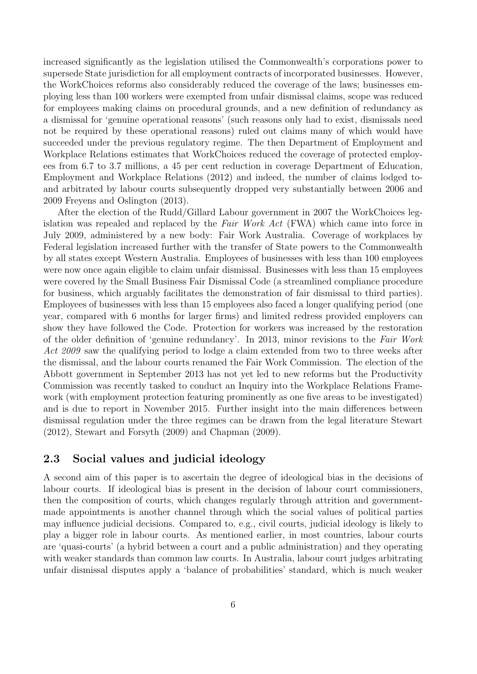increased significantly as the legislation utilised the Commonwealth's corporations power to supersede State jurisdiction for all employment contracts of incorporated businesses. However, the WorkChoices reforms also considerably reduced the coverage of the laws; businesses employing less than 100 workers were exempted from unfair dismissal claims, scope was reduced for employees making claims on procedural grounds, and a new definition of redundancy as a dismissal for 'genuine operational reasons' (such reasons only had to exist, dismissals need not be required by these operational reasons) ruled out claims many of which would have succeeded under the previous regulatory regime. The then Department of Employment and Workplace Relations estimates that WorkChoices reduced the coverage of protected employees from 6.7 to 3.7 millions, a 45 per cent reduction in coverage Department of Education, Employment and Workplace Relations (2012) and indeed, the number of claims lodged toand arbitrated by labour courts subsequently dropped very substantially between 2006 and 2009 Freyens and Oslington (2013).

After the election of the Rudd/Gillard Labour government in 2007 the WorkChoices legislation was repealed and replaced by the *Fair Work Act* (FWA) which came into force in July 2009, administered by a new body: Fair Work Australia. Coverage of workplaces by Federal legislation increased further with the transfer of State powers to the Commonwealth by all states except Western Australia. Employees of businesses with less than 100 employees were now once again eligible to claim unfair dismissal. Businesses with less than 15 employees were covered by the Small Business Fair Dismissal Code (a streamlined compliance procedure for business, which arguably facilitates the demonstration of fair dismissal to third parties). Employees of businesses with less than 15 employees also faced a longer qualifying period (one year, compared with 6 months for larger firms) and limited redress provided employers can show they have followed the Code. Protection for workers was increased by the restoration of the older definition of 'genuine redundancy'. In 2013, minor revisions to the *Fair Work Act 2009* saw the qualifying period to lodge a claim extended from two to three weeks after the dismissal, and the labour courts renamed the Fair Work Commission. The election of the Abbott government in September 2013 has not yet led to new reforms but the Productivity Commission was recently tasked to conduct an Inquiry into the Workplace Relations Framework (with employment protection featuring prominently as one five areas to be investigated) and is due to report in November 2015. Further insight into the main differences between dismissal regulation under the three regimes can be drawn from the legal literature Stewart (2012), Stewart and Forsyth (2009) and Chapman (2009).

#### **2.3 Social values and judicial ideology**

A second aim of this paper is to ascertain the degree of ideological bias in the decisions of labour courts. If ideological bias is present in the decision of labour court commissioners, then the composition of courts, which changes regularly through attrition and governmentmade appointments is another channel through which the social values of political parties may influence judicial decisions. Compared to, e.g., civil courts, judicial ideology is likely to play a bigger role in labour courts. As mentioned earlier, in most countries, labour courts are 'quasi-courts' (a hybrid between a court and a public administration) and they operating with weaker standards than common law courts. In Australia, labour court judges arbitrating unfair dismissal disputes apply a 'balance of probabilities' standard, which is much weaker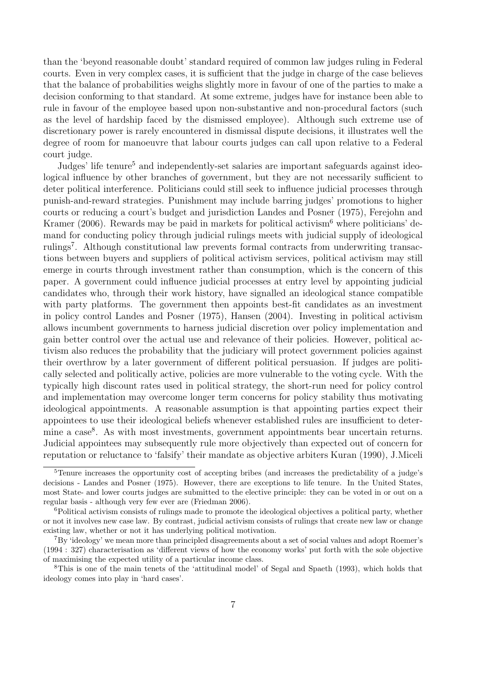than the 'beyond reasonable doubt' standard required of common law judges ruling in Federal courts. Even in very complex cases, it is sufficient that the judge in charge of the case believes that the balance of probabilities weighs slightly more in favour of one of the parties to make a decision conforming to that standard. At some extreme, judges have for instance been able to rule in favour of the employee based upon non-substantive and non-procedural factors (such as the level of hardship faced by the dismissed employee). Although such extreme use of discretionary power is rarely encountered in dismissal dispute decisions, it illustrates well the degree of room for manoeuvre that labour courts judges can call upon relative to a Federal court judge.

Judges' life tenure<sup>5</sup> and independently-set salaries are important safeguards against ideological influence by other branches of government, but they are not necessarily sufficient to deter political interference. Politicians could still seek to influence judicial processes through punish-and-reward strategies. Punishment may include barring judges' promotions to higher courts or reducing a court's budget and jurisdiction Landes and Posner (1975), Ferejohn and Kramer (2006). Rewards may be paid in markets for political activism<sup>6</sup> where politicians' demand for conducting policy through judicial rulings meets with judicial supply of ideological rulings<sup>7</sup>. Although constitutional law prevents formal contracts from underwriting transactions between buyers and suppliers of political activism services, political activism may still emerge in courts through investment rather than consumption, which is the concern of this paper. A government could influence judicial processes at entry level by appointing judicial candidates who, through their work history, have signalled an ideological stance compatible with party platforms. The government then appoints best-fit candidates as an investment in policy control Landes and Posner (1975), Hansen (2004). Investing in political activism allows incumbent governments to harness judicial discretion over policy implementation and gain better control over the actual use and relevance of their policies. However, political activism also reduces the probability that the judiciary will protect government policies against their overthrow by a later government of different political persuasion. If judges are politically selected and politically active, policies are more vulnerable to the voting cycle. With the typically high discount rates used in political strategy, the short-run need for policy control and implementation may overcome longer term concerns for policy stability thus motivating ideological appointments. A reasonable assumption is that appointing parties expect their appointees to use their ideological beliefs whenever established rules are insufficient to determine a case<sup>8</sup>. As with most investments, government appointments bear uncertain returns. Judicial appointees may subsequently rule more objectively than expected out of concern for reputation or reluctance to 'falsify' their mandate as objective arbiters Kuran (1990), J.Miceli

<sup>5</sup>Tenure increases the opportunity cost of accepting bribes (and increases the predictability of a judge's decisions - Landes and Posner (1975). However, there are exceptions to life tenure. In the United States, most State- and lower courts judges are submitted to the elective principle: they can be voted in or out on a regular basis - although very few ever are (Friedman 2006).

<sup>6</sup>Political activism consists of rulings made to promote the ideological objectives a political party, whether or not it involves new case law. By contrast, judicial activism consists of rulings that create new law or change existing law, whether or not it has underlying political motivation.

<sup>7</sup>By 'ideology' we mean more than principled disagreements about a set of social values and adopt Roemer's (1994 : 327) characterisation as 'different views of how the economy works' put forth with the sole objective of maximising the expected utility of a particular income class.

<sup>8</sup>This is one of the main tenets of the 'attitudinal model' of Segal and Spaeth (1993), which holds that ideology comes into play in 'hard cases'.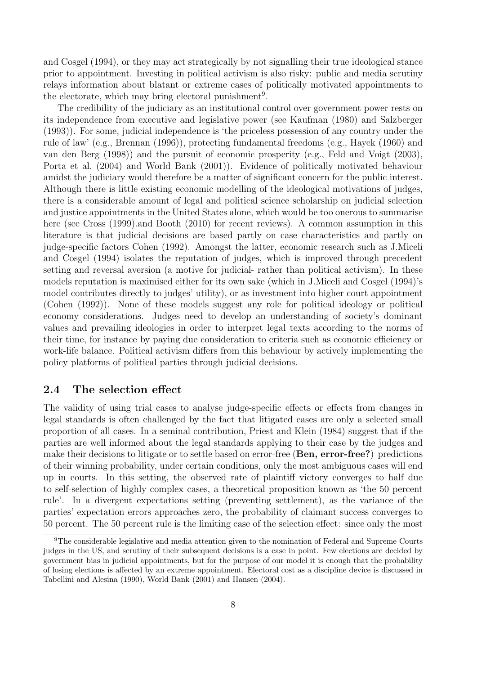and Cosgel (1994), or they may act strategically by not signalling their true ideological stance prior to appointment. Investing in political activism is also risky: public and media scrutiny relays information about blatant or extreme cases of politically motivated appointments to the electorate, which may bring electoral punishment<sup>9</sup>.

The credibility of the judiciary as an institutional control over government power rests on its independence from executive and legislative power (see Kaufman (1980) and Salzberger (1993)). For some, judicial independence is 'the priceless possession of any country under the rule of law' (e.g., Brennan (1996)), protecting fundamental freedoms (e.g., Hayek (1960) and van den Berg (1998)) and the pursuit of economic prosperity (e.g., Feld and Voigt (2003), Porta et al. (2004) and World Bank (2001)). Evidence of politically motivated behaviour amidst the judiciary would therefore be a matter of significant concern for the public interest. Although there is little existing economic modelling of the ideological motivations of judges, there is a considerable amount of legal and political science scholarship on judicial selection and justice appointments in the United States alone, which would be too onerous to summarise here (see Cross (1999).and Booth (2010) for recent reviews). A common assumption in this literature is that judicial decisions are based partly on case characteristics and partly on judge-specific factors Cohen (1992). Amongst the latter, economic research such as J.Miceli and Cosgel (1994) isolates the reputation of judges, which is improved through precedent setting and reversal aversion (a motive for judicial- rather than political activism). In these models reputation is maximised either for its own sake (which in J.Miceli and Cosgel (1994)'s model contributes directly to judges' utility), or as investment into higher court appointment (Cohen (1992)). None of these models suggest any role for political ideology or political economy considerations. Judges need to develop an understanding of society's dominant values and prevailing ideologies in order to interpret legal texts according to the norms of their time, for instance by paying due consideration to criteria such as economic efficiency or work-life balance. Political activism differs from this behaviour by actively implementing the policy platforms of political parties through judicial decisions.

#### **2.4 The selection effect**

The validity of using trial cases to analyse judge-specific effects or effects from changes in legal standards is often challenged by the fact that litigated cases are only a selected small proportion of all cases. In a seminal contribution, Priest and Klein (1984) suggest that if the parties are well informed about the legal standards applying to their case by the judges and make their decisions to litigate or to settle based on error-free (**Ben, error-free?**) predictions of their winning probability, under certain conditions, only the most ambiguous cases will end up in courts. In this setting, the observed rate of plaintiff victory converges to half due to self-selection of highly complex cases, a theoretical proposition known as 'the 50 percent rule'. In a divergent expectations setting (preventing settlement), as the variance of the parties' expectation errors approaches zero, the probability of claimant success converges to 50 percent. The 50 percent rule is the limiting case of the selection effect: since only the most

<sup>9</sup>The considerable legislative and media attention given to the nomination of Federal and Supreme Courts judges in the US, and scrutiny of their subsequent decisions is a case in point. Few elections are decided by government bias in judicial appointments, but for the purpose of our model it is enough that the probability of losing elections is affected by an extreme appointment. Electoral cost as a discipline device is discussed in Tabellini and Alesina (1990), World Bank (2001) and Hansen (2004).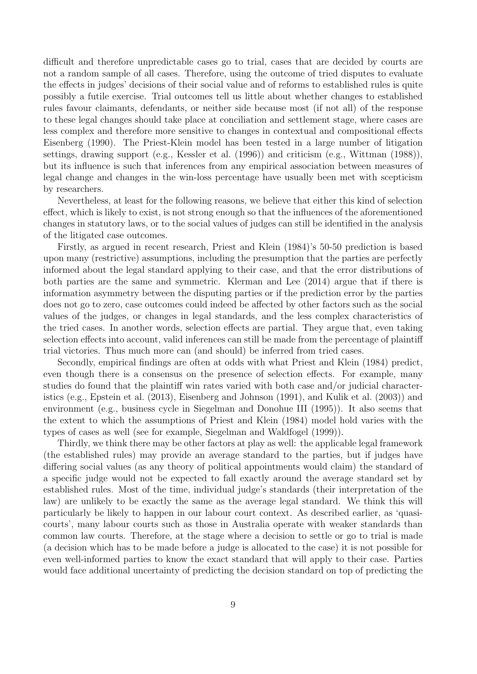difficult and therefore unpredictable cases go to trial, cases that are decided by courts are not a random sample of all cases. Therefore, using the outcome of tried disputes to evaluate the effects in judges' decisions of their social value and of reforms to established rules is quite possibly a futile exercise. Trial outcomes tell us little about whether changes to established rules favour claimants, defendants, or neither side because most (if not all) of the response to these legal changes should take place at conciliation and settlement stage, where cases are less complex and therefore more sensitive to changes in contextual and compositional effects Eisenberg (1990). The Priest-Klein model has been tested in a large number of litigation settings, drawing support (e.g., Kessler et al. (1996)) and criticism (e.g., Wittman (1988)), but its influence is such that inferences from any empirical association between measures of legal change and changes in the win-loss percentage have usually been met with scepticism by researchers.

Nevertheless, at least for the following reasons, we believe that either this kind of selection effect, which is likely to exist, is not strong enough so that the influences of the aforementioned changes in statutory laws, or to the social values of judges can still be identified in the analysis of the litigated case outcomes.

Firstly, as argued in recent research, Priest and Klein (1984)'s 50-50 prediction is based upon many (restrictive) assumptions, including the presumption that the parties are perfectly informed about the legal standard applying to their case, and that the error distributions of both parties are the same and symmetric. Klerman and Lee (2014) argue that if there is information asymmetry between the disputing parties or if the prediction error by the parties does not go to zero, case outcomes could indeed be affected by other factors such as the social values of the judges, or changes in legal standards, and the less complex characteristics of the tried cases. In another words, selection effects are partial. They argue that, even taking selection effects into account, valid inferences can still be made from the percentage of plaintiff trial victories. Thus much more can (and should) be inferred from tried cases.

Secondly, empirical findings are often at odds with what Priest and Klein (1984) predict, even though there is a consensus on the presence of selection effects. For example, many studies do found that the plaintiff win rates varied with both case and/or judicial characteristics (e.g., Epstein et al. (2013), Eisenberg and Johnson (1991), and Kulik et al. (2003)) and environment (e.g., business cycle in Siegelman and Donohue III (1995)). It also seems that the extent to which the assumptions of Priest and Klein (1984) model hold varies with the types of cases as well (see for example, Siegelman and Waldfogel (1999)).

Thirdly, we think there may be other factors at play as well: the applicable legal framework (the established rules) may provide an average standard to the parties, but if judges have differing social values (as any theory of political appointments would claim) the standard of a specific judge would not be expected to fall exactly around the average standard set by established rules. Most of the time, individual judge's standards (their interpretation of the law) are unlikely to be exactly the same as the average legal standard. We think this will particularly be likely to happen in our labour court context. As described earlier, as 'quasicourts', many labour courts such as those in Australia operate with weaker standards than common law courts. Therefore, at the stage where a decision to settle or go to trial is made (a decision which has to be made before a judge is allocated to the case) it is not possible for even well-informed parties to know the exact standard that will apply to their case. Parties would face additional uncertainty of predicting the decision standard on top of predicting the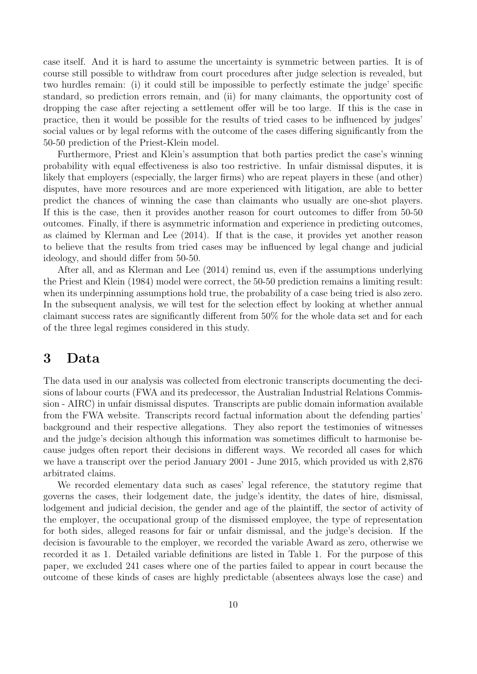case itself. And it is hard to assume the uncertainty is symmetric between parties. It is of course still possible to withdraw from court procedures after judge selection is revealed, but two hurdles remain: (i) it could still be impossible to perfectly estimate the judge' specific standard, so prediction errors remain, and (ii) for many claimants, the opportunity cost of dropping the case after rejecting a settlement offer will be too large. If this is the case in practice, then it would be possible for the results of tried cases to be influenced by judges' social values or by legal reforms with the outcome of the cases differing significantly from the 50-50 prediction of the Priest-Klein model.

Furthermore, Priest and Klein's assumption that both parties predict the case's winning probability with equal effectiveness is also too restrictive. In unfair dismissal disputes, it is likely that employers (especially, the larger firms) who are repeat players in these (and other) disputes, have more resources and are more experienced with litigation, are able to better predict the chances of winning the case than claimants who usually are one-shot players. If this is the case, then it provides another reason for court outcomes to differ from 50-50 outcomes. Finally, if there is asymmetric information and experience in predicting outcomes, as claimed by Klerman and Lee (2014). If that is the case, it provides yet another reason to believe that the results from tried cases may be influenced by legal change and judicial ideology, and should differ from 50-50.

After all, and as Klerman and Lee (2014) remind us, even if the assumptions underlying the Priest and Klein (1984) model were correct, the 50-50 prediction remains a limiting result: when its underpinning assumptions hold true, the probability of a case being tried is also zero. In the subsequent analysis, we will test for the selection effect by looking at whether annual claimant success rates are significantly different from 50% for the whole data set and for each of the three legal regimes considered in this study.

## **3 Data**

The data used in our analysis was collected from electronic transcripts documenting the decisions of labour courts (FWA and its predecessor, the Australian Industrial Relations Commission - AIRC) in unfair dismissal disputes. Transcripts are public domain information available from the FWA website. Transcripts record factual information about the defending parties' background and their respective allegations. They also report the testimonies of witnesses and the judge's decision although this information was sometimes difficult to harmonise because judges often report their decisions in different ways. We recorded all cases for which we have a transcript over the period January 2001 - June 2015, which provided us with 2,876 arbitrated claims.

We recorded elementary data such as cases' legal reference, the statutory regime that governs the cases, their lodgement date, the judge's identity, the dates of hire, dismissal, lodgement and judicial decision, the gender and age of the plaintiff, the sector of activity of the employer, the occupational group of the dismissed employee, the type of representation for both sides, alleged reasons for fair or unfair dismissal, and the judge's decision. If the decision is favourable to the employer, we recorded the variable Award as zero, otherwise we recorded it as 1. Detailed variable definitions are listed in Table 1. For the purpose of this paper, we excluded 241 cases where one of the parties failed to appear in court because the outcome of these kinds of cases are highly predictable (absentees always lose the case) and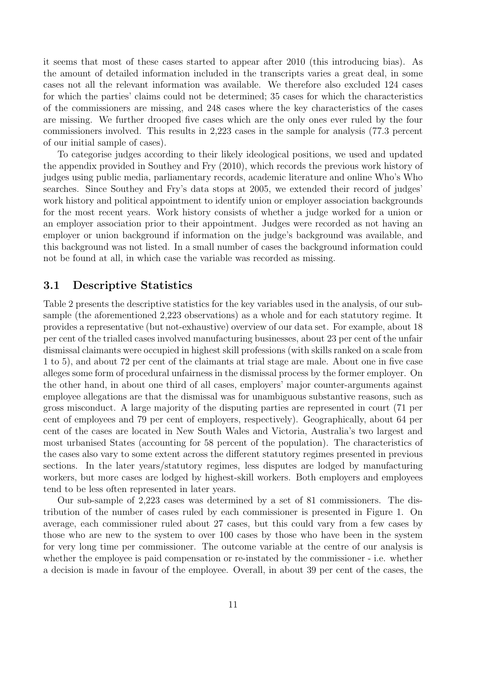it seems that most of these cases started to appear after 2010 (this introducing bias). As the amount of detailed information included in the transcripts varies a great deal, in some cases not all the relevant information was available. We therefore also excluded 124 cases for which the parties' claims could not be determined; 35 cases for which the characteristics of the commissioners are missing, and 248 cases where the key characteristics of the cases are missing. We further drooped five cases which are the only ones ever ruled by the four commissioners involved. This results in 2,223 cases in the sample for analysis (77.3 percent of our initial sample of cases).

To categorise judges according to their likely ideological positions, we used and updated the appendix provided in Southey and Fry (2010), which records the previous work history of judges using public media, parliamentary records, academic literature and online Who's Who searches. Since Southey and Fry's data stops at 2005, we extended their record of judges' work history and political appointment to identify union or employer association backgrounds for the most recent years. Work history consists of whether a judge worked for a union or an employer association prior to their appointment. Judges were recorded as not having an employer or union background if information on the judge's background was available, and this background was not listed. In a small number of cases the background information could not be found at all, in which case the variable was recorded as missing.

#### **3.1 Descriptive Statistics**

Table 2 presents the descriptive statistics for the key variables used in the analysis, of our subsample (the aforementioned 2,223 observations) as a whole and for each statutory regime. It provides a representative (but not-exhaustive) overview of our data set. For example, about 18 per cent of the trialled cases involved manufacturing businesses, about 23 per cent of the unfair dismissal claimants were occupied in highest skill professions (with skills ranked on a scale from 1 to 5), and about 72 per cent of the claimants at trial stage are male. About one in five case alleges some form of procedural unfairness in the dismissal process by the former employer. On the other hand, in about one third of all cases, employers' major counter-arguments against employee allegations are that the dismissal was for unambiguous substantive reasons, such as gross misconduct. A large majority of the disputing parties are represented in court (71 per cent of employees and 79 per cent of employers, respectively). Geographically, about 64 per cent of the cases are located in New South Wales and Victoria, Australia's two largest and most urbanised States (accounting for 58 percent of the population). The characteristics of the cases also vary to some extent across the different statutory regimes presented in previous sections. In the later years/statutory regimes, less disputes are lodged by manufacturing workers, but more cases are lodged by highest-skill workers. Both employers and employees tend to be less often represented in later years.

Our sub-sample of 2,223 cases was determined by a set of 81 commissioners. The distribution of the number of cases ruled by each commissioner is presented in Figure 1. On average, each commissioner ruled about 27 cases, but this could vary from a few cases by those who are new to the system to over 100 cases by those who have been in the system for very long time per commissioner. The outcome variable at the centre of our analysis is whether the employee is paid compensation or re-instated by the commissioner - i.e. whether a decision is made in favour of the employee. Overall, in about 39 per cent of the cases, the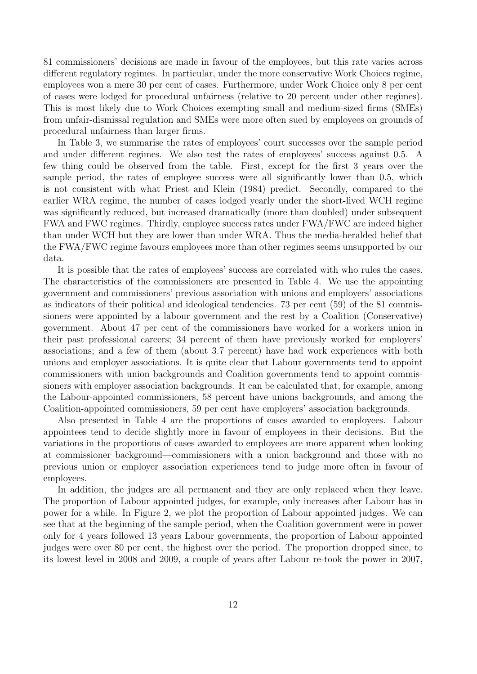81 commissioners' decisions are made in favour of the employees, but this rate varies across different regulatory regimes. In particular, under the more conservative Work Choices regime, employees won a mere 30 per cent of cases. Furthermore, under Work Choice only 8 per cent of cases were lodged for procedural unfairness (relative to 20 percent under other regimes). This is most likely due to Work Choices exempting small and medium-sized firms (SMEs) from unfair-dismissal regulation and SMEs were more often sued by employees on grounds of procedural unfairness than larger firms.

In Table 3, we summarise the rates of employees' court successes over the sample period and under different regimes. We also test the rates of employees' success against 0.5. A few thing could be observed from the table. First, except for the first 3 years over the sample period, the rates of employee success were all significantly lower than 0.5, which is not consistent with what Priest and Klein (1984) predict. Secondly, compared to the earlier WRA regime, the number of cases lodged yearly under the short-lived WCH regime was significantly reduced, but increased dramatically (more than doubled) under subsequent FWA and FWC regimes. Thirdly, employee success rates under FWA/FWC are indeed higher than under WCH but they are lower than under WRA. Thus the media-heralded belief that the FWA/FWC regime favours employees more than other regimes seems unsupported by our data.

It is possible that the rates of employees' success are correlated with who rules the cases. The characteristics of the commissioners are presented in Table 4. We use the appointing government and commissioners' previous association with unions and employers' associations as indicators of their political and ideological tendencies. 73 per cent (59) of the 81 commissioners were appointed by a labour government and the rest by a Coalition (Conservative) government. About 47 per cent of the commissioners have worked for a workers union in their past professional careers; 34 percent of them have previously worked for employers' associations; and a few of them (about 3.7 percent) have had work experiences with both unions and employer associations. It is quite clear that Labour governments tend to appoint commissioners with union backgrounds and Coalition governments tend to appoint commissioners with employer association backgrounds. It can be calculated that, for example, among the Labour-appointed commissioners, 58 percent have unions backgrounds, and among the Coalition-appointed commissioners, 59 per cent have employers' association backgrounds.

Also presented in Table 4 are the proportions of cases awarded to employees. Labour appointees tend to decide slightly more in favour of employees in their decisions. But the variations in the proportions of cases awarded to employees are more apparent when looking at commissioner background—commissioners with a union background and those with no previous union or employer association experiences tend to judge more often in favour of employees.

In addition, the judges are all permanent and they are only replaced when they leave. The proportion of Labour appointed judges, for example, only increases after Labour has in power for a while. In Figure 2, we plot the proportion of Labour appointed judges. We can see that at the beginning of the sample period, when the Coalition government were in power only for 4 years followed 13 years Labour governments, the proportion of Labour appointed judges were over 80 per cent, the highest over the period. The proportion dropped since, to its lowest level in 2008 and 2009, a couple of years after Labour re-took the power in 2007,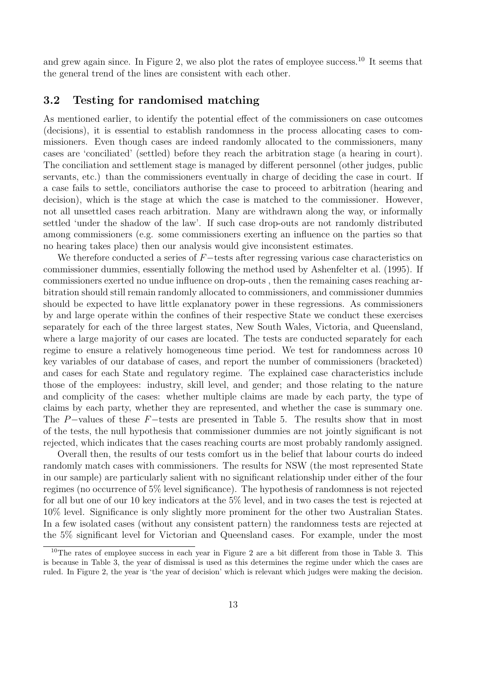and grew again since. In Figure 2, we also plot the rates of employee success.<sup>10</sup> It seems that the general trend of the lines are consistent with each other.

#### **3.2 Testing for randomised matching**

As mentioned earlier, to identify the potential effect of the commissioners on case outcomes (decisions), it is essential to establish randomness in the process allocating cases to commissioners. Even though cases are indeed randomly allocated to the commissioners, many cases are 'conciliated' (settled) before they reach the arbitration stage (a hearing in court). The conciliation and settlement stage is managed by different personnel (other judges, public servants, etc.) than the commissioners eventually in charge of deciding the case in court. If a case fails to settle, conciliators authorise the case to proceed to arbitration (hearing and decision), which is the stage at which the case is matched to the commissioner. However, not all unsettled cases reach arbitration. Many are withdrawn along the way, or informally settled 'under the shadow of the law'. If such case drop-outs are not randomly distributed among commissioners (e.g. some commissioners exerting an influence on the parties so that no hearing takes place) then our analysis would give inconsistent estimates.

We therefore conducted a series of *F−*tests after regressing various case characteristics on commissioner dummies, essentially following the method used by Ashenfelter et al. (1995). If commissioners exerted no undue influence on drop-outs , then the remaining cases reaching arbitration should still remain randomly allocated to commissioners, and commissioner dummies should be expected to have little explanatory power in these regressions. As commissioners by and large operate within the confines of their respective State we conduct these exercises separately for each of the three largest states, New South Wales, Victoria, and Queensland, where a large majority of our cases are located. The tests are conducted separately for each regime to ensure a relatively homogeneous time period. We test for randomness across 10 key variables of our database of cases, and report the number of commissioners (bracketed) and cases for each State and regulatory regime. The explained case characteristics include those of the employees: industry, skill level, and gender; and those relating to the nature and complicity of the cases: whether multiple claims are made by each party, the type of claims by each party, whether they are represented, and whether the case is summary one. The *P−*values of these *F−*tests are presented in Table 5. The results show that in most of the tests, the null hypothesis that commissioner dummies are not jointly significant is not rejected, which indicates that the cases reaching courts are most probably randomly assigned.

Overall then, the results of our tests comfort us in the belief that labour courts do indeed randomly match cases with commissioners. The results for NSW (the most represented State in our sample) are particularly salient with no significant relationship under either of the four regimes (no occurrence of 5% level significance). The hypothesis of randomness is not rejected for all but one of our 10 key indicators at the 5% level, and in two cases the test is rejected at 10% level. Significance is only slightly more prominent for the other two Australian States. In a few isolated cases (without any consistent pattern) the randomness tests are rejected at the 5% significant level for Victorian and Queensland cases. For example, under the most

 $10$ The rates of employee success in each year in Figure 2 are a bit different from those in Table 3. This is because in Table 3, the year of dismissal is used as this determines the regime under which the cases are ruled. In Figure 2, the year is 'the year of decision' which is relevant which judges were making the decision.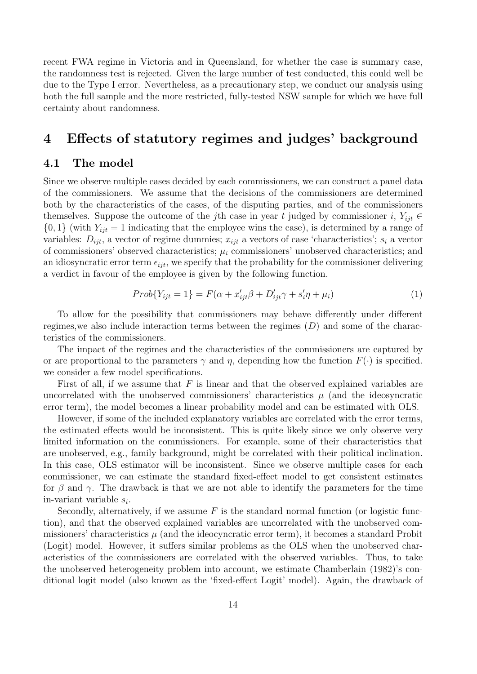recent FWA regime in Victoria and in Queensland, for whether the case is summary case, the randomness test is rejected. Given the large number of test conducted, this could well be due to the Type I error. Nevertheless, as a precautionary step, we conduct our analysis using both the full sample and the more restricted, fully-tested NSW sample for which we have full certainty about randomness.

## **4 Effects of statutory regimes and judges' background**

#### **4.1 The model**

Since we observe multiple cases decided by each commissioners, we can construct a panel data of the commissioners. We assume that the decisions of the commissioners are determined both by the characteristics of the cases, of the disputing parties, and of the commissioners themselves. Suppose the outcome of the *j*th case in year *t* judged by commissioner *i*,  $Y_{ijt} \in$  $\{0,1\}$  (with  $Y_{ijt} = 1$  indicating that the employee wins the case), is determined by a range of variables:  $D_{ijt}$ , a vector of regime dummies;  $x_{ijt}$  a vectors of case 'characteristics';  $s_i$  a vector of commissioners' observed characteristics;  $\mu_i$  commissioners' unobserved characteristics; and an idiosyncratic error term  $\epsilon_{ijt}$ , we specify that the probability for the commissioner delivering a verdict in favour of the employee is given by the following function.

$$
Prob{Y_{ijt} = 1} = F(\alpha + x'_{ijt}\beta + D'_{ijt}\gamma + s'_i\eta + \mu_i)
$$
\n(1)

To allow for the possibility that commissioners may behave differently under different regimes,we also include interaction terms between the regimes (*D*) and some of the characteristics of the commissioners.

The impact of the regimes and the characteristics of the commissioners are captured by or are proportional to the parameters  $\gamma$  and  $\eta$ , depending how the function  $F(\cdot)$  is specified. we consider a few model specifications.

First of all, if we assume that *F* is linear and that the observed explained variables are uncorrelated with the unobserved commissioners' characteristics  $\mu$  (and the ideosyncratic error term), the model becomes a linear probability model and can be estimated with OLS.

However, if some of the included explanatory variables are correlated with the error terms, the estimated effects would be inconsistent. This is quite likely since we only observe very limited information on the commissioners. For example, some of their characteristics that are unobserved, e.g., family background, might be correlated with their political inclination. In this case, OLS estimator will be inconsistent. Since we observe multiple cases for each commissioner, we can estimate the standard fixed-effect model to get consistent estimates for  $\beta$  and  $\gamma$ . The drawback is that we are not able to identify the parameters for the time in-variant variable *s<sup>i</sup>* .

Secondly, alternatively, if we assume  $F$  is the standard normal function (or logistic function), and that the observed explained variables are uncorrelated with the unobserved commissioners' characteristics  $\mu$  (and the ideocyncratic error term), it becomes a standard Probit (Logit) model. However, it suffers similar problems as the OLS when the unobserved characteristics of the commissioners are correlated with the observed variables. Thus, to take the unobserved heterogeneity problem into account, we estimate Chamberlain (1982)'s conditional logit model (also known as the 'fixed-effect Logit' model). Again, the drawback of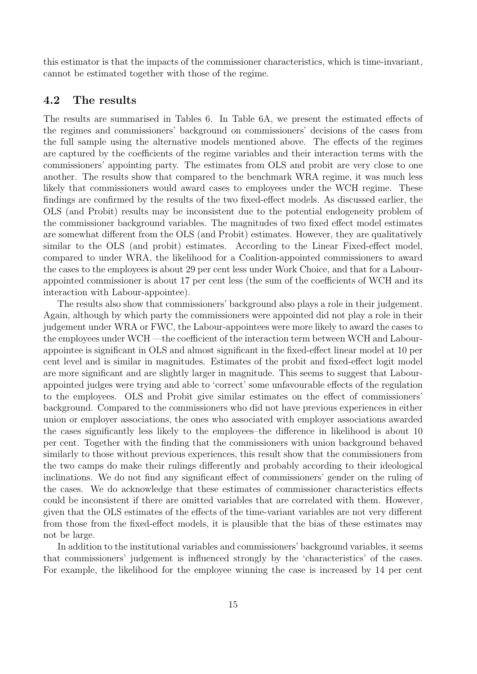this estimator is that the impacts of the commissioner characteristics, which is time-invariant, cannot be estimated together with those of the regime.

### **4.2 The results**

The results are summarised in Tables 6. In Table 6A, we present the estimated effects of the regimes and commissioners' background on commissioners' decisions of the cases from the full sample using the alternative models mentioned above. The effects of the regimes are captured by the coefficients of the regime variables and their interaction terms with the commissioners' appointing party. The estimates from OLS and probit are very close to one another. The results show that compared to the benchmark WRA regime, it was much less likely that commissioners would award cases to employees under the WCH regime. These findings are confirmed by the results of the two fixed-effect models. As discussed earlier, the OLS (and Probit) results may be inconsistent due to the potential endogeneity problem of the commissioner background variables. The magnitudes of two fixed effect model estimates are somewhat different from the OLS (and Probit) estimates. However, they are qualitatively similar to the OLS (and probit) estimates. According to the Linear Fixed-effect model, compared to under WRA, the likelihood for a Coalition-appointed commissioners to award the cases to the employees is about 29 per cent less under Work Choice, and that for a Labourappointed commissioner is about 17 per cent less (the sum of the coefficients of WCH and its interaction with Labour-appointee).

The results also show that commissioners' background also plays a role in their judgement. Again, although by which party the commissioners were appointed did not play a role in their judgement under WRA or FWC, the Labour-appointees were more likely to award the cases to the employees under WCH —the coefficient of the interaction term between WCH and Labourappointee is significant in OLS and almost significant in the fixed-effect linear model at 10 per cent level and is similar in magnitudes. Estimates of the probit and fixed-effect logit model are more significant and are slightly larger in magnitude. This seems to suggest that Labourappointed judges were trying and able to 'correct' some unfavourable effects of the regulation to the employees. OLS and Probit give similar estimates on the effect of commissioners' background. Compared to the commissioners who did not have previous experiences in either union or employer associations, the ones who associated with employer associations awarded the cases significantly less likely to the employees–the difference in likelihood is about 10 per cent. Together with the finding that the commissioners with union background behaved similarly to those without previous experiences, this result show that the commissioners from the two camps do make their rulings differently and probably according to their ideological inclinations. We do not find any significant effect of commissioners' gender on the ruling of the cases. We do acknowledge that these estimates of commissioner characteristics effects could be inconsistent if there are omitted variables that are correlated with them. However, given that the OLS estimates of the effects of the time-variant variables are not very different from those from the fixed-effect models, it is plausible that the bias of these estimates may not be large.

In addition to the institutional variables and commissioners' background variables, it seems that commissioners' judgement is influenced strongly by the 'characteristics' of the cases. For example, the likelihood for the employee winning the case is increased by 14 per cent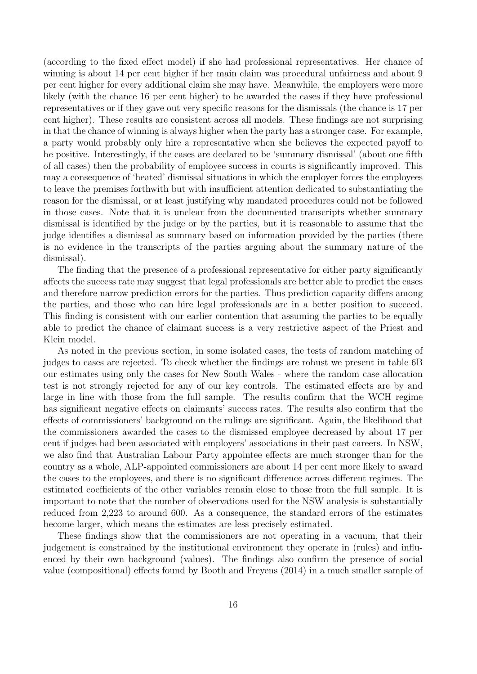(according to the fixed effect model) if she had professional representatives. Her chance of winning is about 14 per cent higher if her main claim was procedural unfairness and about 9 per cent higher for every additional claim she may have. Meanwhile, the employers were more likely (with the chance 16 per cent higher) to be awarded the cases if they have professional representatives or if they gave out very specific reasons for the dismissals (the chance is 17 per cent higher). These results are consistent across all models. These findings are not surprising in that the chance of winning is always higher when the party has a stronger case. For example, a party would probably only hire a representative when she believes the expected payoff to be positive. Interestingly, if the cases are declared to be 'summary dismissal' (about one fifth of all cases) then the probability of employee success in courts is significantly improved. This may a consequence of 'heated' dismissal situations in which the employer forces the employees to leave the premises forthwith but with insufficient attention dedicated to substantiating the reason for the dismissal, or at least justifying why mandated procedures could not be followed in those cases. Note that it is unclear from the documented transcripts whether summary dismissal is identified by the judge or by the parties, but it is reasonable to assume that the judge identifies a dismissal as summary based on information provided by the parties (there is no evidence in the transcripts of the parties arguing about the summary nature of the dismissal).

The finding that the presence of a professional representative for either party significantly affects the success rate may suggest that legal professionals are better able to predict the cases and therefore narrow prediction errors for the parties. Thus prediction capacity differs among the parties, and those who can hire legal professionals are in a better position to succeed. This finding is consistent with our earlier contention that assuming the parties to be equally able to predict the chance of claimant success is a very restrictive aspect of the Priest and Klein model.

As noted in the previous section, in some isolated cases, the tests of random matching of judges to cases are rejected. To check whether the findings are robust we present in table 6B our estimates using only the cases for New South Wales - where the random case allocation test is not strongly rejected for any of our key controls. The estimated effects are by and large in line with those from the full sample. The results confirm that the WCH regime has significant negative effects on claimants' success rates. The results also confirm that the effects of commissioners' background on the rulings are significant. Again, the likelihood that the commissioners awarded the cases to the dismissed employee decreased by about 17 per cent if judges had been associated with employers' associations in their past careers. In NSW, we also find that Australian Labour Party appointee effects are much stronger than for the country as a whole, ALP-appointed commissioners are about 14 per cent more likely to award the cases to the employees, and there is no significant difference across different regimes. The estimated coefficients of the other variables remain close to those from the full sample. It is important to note that the number of observations used for the NSW analysis is substantially reduced from 2,223 to around 600. As a consequence, the standard errors of the estimates become larger, which means the estimates are less precisely estimated.

These findings show that the commissioners are not operating in a vacuum, that their judgement is constrained by the institutional environment they operate in (rules) and influenced by their own background (values). The findings also confirm the presence of social value (compositional) effects found by Booth and Freyens (2014) in a much smaller sample of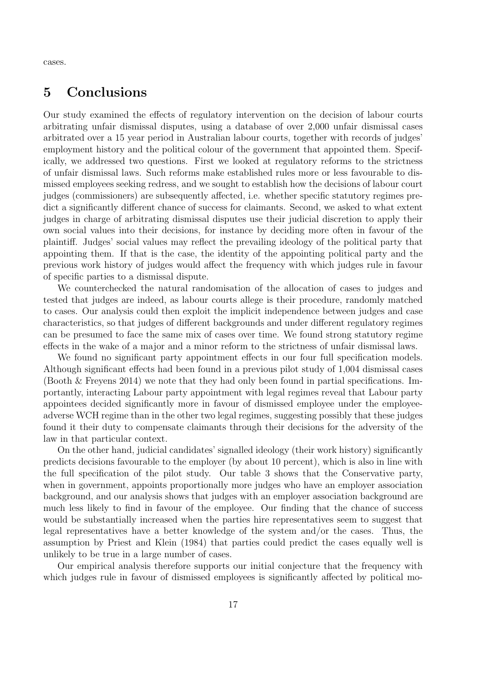cases.

## **5 Conclusions**

Our study examined the effects of regulatory intervention on the decision of labour courts arbitrating unfair dismissal disputes, using a database of over 2,000 unfair dismissal cases arbitrated over a 15 year period in Australian labour courts, together with records of judges' employment history and the political colour of the government that appointed them. Specifically, we addressed two questions. First we looked at regulatory reforms to the strictness of unfair dismissal laws. Such reforms make established rules more or less favourable to dismissed employees seeking redress, and we sought to establish how the decisions of labour court judges (commissioners) are subsequently affected, i.e. whether specific statutory regimes predict a significantly different chance of success for claimants. Second, we asked to what extent judges in charge of arbitrating dismissal disputes use their judicial discretion to apply their own social values into their decisions, for instance by deciding more often in favour of the plaintiff. Judges' social values may reflect the prevailing ideology of the political party that appointing them. If that is the case, the identity of the appointing political party and the previous work history of judges would affect the frequency with which judges rule in favour of specific parties to a dismissal dispute.

We counterchecked the natural randomisation of the allocation of cases to judges and tested that judges are indeed, as labour courts allege is their procedure, randomly matched to cases. Our analysis could then exploit the implicit independence between judges and case characteristics, so that judges of different backgrounds and under different regulatory regimes can be presumed to face the same mix of cases over time. We found strong statutory regime effects in the wake of a major and a minor reform to the strictness of unfair dismissal laws.

We found no significant party appointment effects in our four full specification models. Although significant effects had been found in a previous pilot study of 1,004 dismissal cases (Booth & Freyens 2014) we note that they had only been found in partial specifications. Importantly, interacting Labour party appointment with legal regimes reveal that Labour party appointees decided significantly more in favour of dismissed employee under the employeeadverse WCH regime than in the other two legal regimes, suggesting possibly that these judges found it their duty to compensate claimants through their decisions for the adversity of the law in that particular context.

On the other hand, judicial candidates' signalled ideology (their work history) significantly predicts decisions favourable to the employer (by about 10 percent), which is also in line with the full specification of the pilot study. Our table 3 shows that the Conservative party, when in government, appoints proportionally more judges who have an employer association background, and our analysis shows that judges with an employer association background are much less likely to find in favour of the employee. Our finding that the chance of success would be substantially increased when the parties hire representatives seem to suggest that legal representatives have a better knowledge of the system and/or the cases. Thus, the assumption by Priest and Klein (1984) that parties could predict the cases equally well is unlikely to be true in a large number of cases.

Our empirical analysis therefore supports our initial conjecture that the frequency with which judges rule in favour of dismissed employees is significantly affected by political mo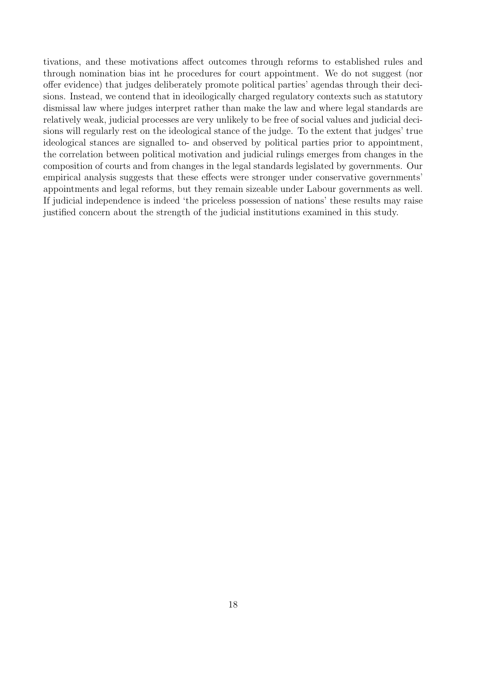tivations, and these motivations affect outcomes through reforms to established rules and through nomination bias int he procedures for court appointment. We do not suggest (nor offer evidence) that judges deliberately promote political parties' agendas through their decisions. Instead, we contend that in ideoilogically charged regulatory contexts such as statutory dismissal law where judges interpret rather than make the law and where legal standards are relatively weak, judicial processes are very unlikely to be free of social values and judicial decisions will regularly rest on the ideological stance of the judge. To the extent that judges' true ideological stances are signalled to- and observed by political parties prior to appointment, the correlation between political motivation and judicial rulings emerges from changes in the composition of courts and from changes in the legal standards legislated by governments. Our empirical analysis suggests that these effects were stronger under conservative governments' appointments and legal reforms, but they remain sizeable under Labour governments as well. If judicial independence is indeed 'the priceless possession of nations' these results may raise justified concern about the strength of the judicial institutions examined in this study.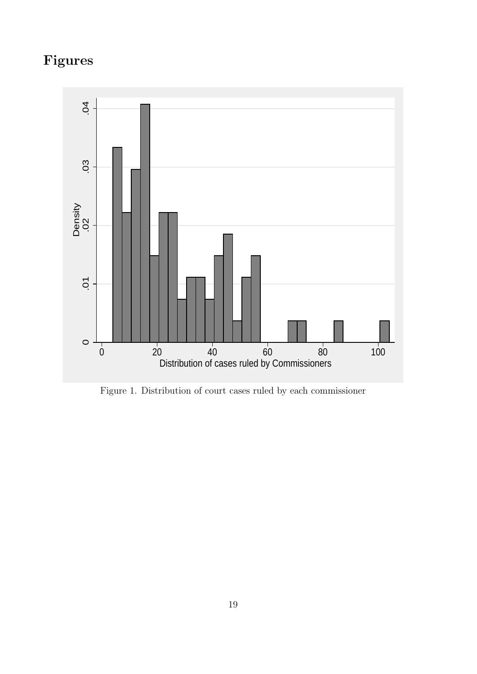# **Figures**



Figure 1. Distribution of court cases ruled by each commissioner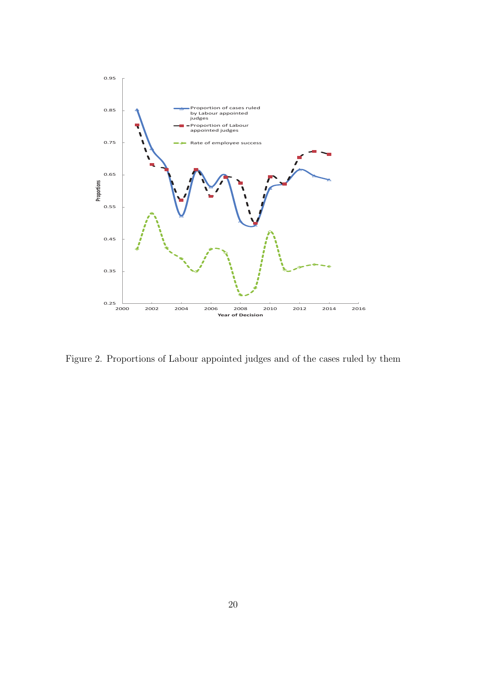

Figure 2. Proportions of Labour appointed judges and of the cases ruled by them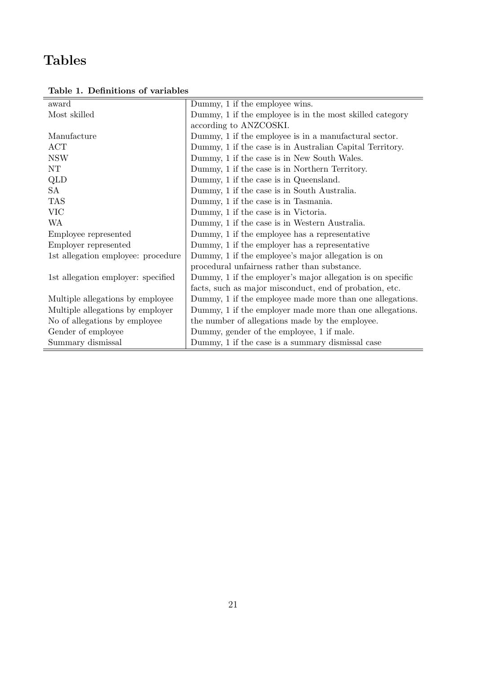# **Tables**

| award                              | Dummy, 1 if the employee wins.                             |
|------------------------------------|------------------------------------------------------------|
| Most skilled                       | Dummy, 1 if the employee is in the most skilled category   |
|                                    | according to ANZCOSKI.                                     |
| Manufacture                        | Dummy, 1 if the employee is in a manufactural sector.      |
| ACT                                | Dummy, 1 if the case is in Australian Capital Territory.   |
| <b>NSW</b>                         | Dummy, 1 if the case is in New South Wales.                |
| $\rm{NT}$                          | Dummy, 1 if the case is in Northern Territory.             |
| QLD                                | Dummy, 1 if the case is in Queensland.                     |
| SA                                 | Dummy, 1 if the case is in South Australia.                |
| <b>TAS</b>                         | Dummy, 1 if the case is in Tasmania.                       |
| <b>VIC</b>                         | Dummy, 1 if the case is in Victoria.                       |
| WA                                 | Dummy, 1 if the case is in Western Australia.              |
| Employee represented               | Dummy, 1 if the employee has a representative              |
| Employer represented               | Dummy, 1 if the employer has a representative              |
| 1st allegation employee: procedure | Dummy, 1 if the employee's major allegation is on          |
|                                    | procedural unfairness rather than substance.               |
| 1st allegation employer: specified | Dummy, 1 if the employer's major allegation is on specific |
|                                    | facts, such as major misconduct, end of probation, etc.    |
| Multiple allegations by employee   | Dummy, 1 if the employee made more than one allegations.   |
| Multiple allegations by employer   | Dummy, 1 if the employer made more than one allegations.   |
| No of allegations by employee      | the number of allegations made by the employee.            |
| Gender of employee                 | Dummy, gender of the employee, 1 if male.                  |
| Summary dismissal                  | Dummy, 1 if the case is a summary dismissal case           |

**Table 1. Definitions of variables**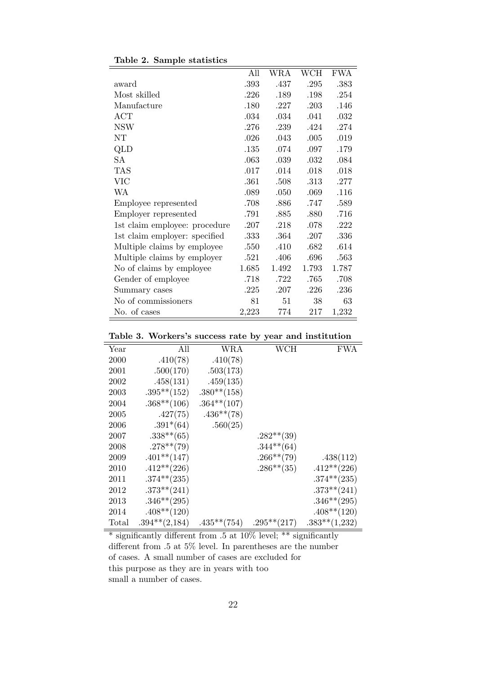|                               | All   | WRA   | WCH   | <b>FWA</b> |
|-------------------------------|-------|-------|-------|------------|
| award                         | .393  | .437  | .295  | .383       |
| Most skilled                  | .226  | .189  | .198  | .254       |
| Manufacture                   | .180  | .227  | .203  | .146       |
| ACT                           | .034  | .034  | .041  | .032       |
| <b>NSW</b>                    | .276  | .239  | .424  | .274       |
| NT                            | .026  | .043  | .005  | .019       |
| QLD                           | .135  | .074  | .097  | .179       |
| <b>SA</b>                     | .063  | .039  | .032  | .084       |
| <b>TAS</b>                    | .017  | .014  | .018  | .018       |
| VIC                           | .361  | .508  | .313  | .277       |
| WA                            | .089  | .050  | .069  | .116       |
| Employee represented          | .708  | .886  | .747  | .589       |
| Employer represented          | .791  | .885  | .880  | .716       |
| 1st claim employee: procedure | .207  | .218  | .078  | .222       |
| 1st claim employer: specified | .333  | .364  | .207  | .336       |
| Multiple claims by employee   | .550  | .410  | .682  | .614       |
| Multiple claims by employer   | .521  | .406  | .696  | .563       |
| No of claims by employee      | 1.685 | 1.492 | 1.793 | 1.787      |
| Gender of employee            | .718  | .722  | .765  | .708       |
| Summary cases                 | .225  | .207  | .226  | .236       |
| No of commissioners           | 81    | 51    | 38    | 63         |
| No. of cases                  | 2,223 | 774   | 217   | 1,232      |

|  |  |  | Table 2. Sample statistics |
|--|--|--|----------------------------|
|--|--|--|----------------------------|

**Table 3. Workers's success rate by year and institution**

| All<br>WCH<br>FWA<br>Year<br>WRA<br>.410(78)<br>.410(78)<br>2000<br>.500(170)<br>.503(173)<br>2001<br>.458(131)<br>.459(135)<br>2002<br>$.395**$ (152)<br>$.380**$ (158)<br>2003<br>$.368**$ (106)<br>$.364**$ (107)<br>2004<br>.427(75)<br>$.436**$ (78)<br>2005<br>.560(25)<br>$.391*(64)$<br>2006<br>$.338** (65)$<br>$.282**$ (39)<br>2007<br>$.278**$ (79)<br>$.344**$ (64)<br>2008<br>$.266**$ (79)<br>$.401**$ (147)<br>2009<br>.438(112)<br>$.412**$ (226)<br>$.286**$ (35)<br>$.412**$ (226)<br>2010<br>$.374**$ (235)<br>$.374**$ (235)<br>2011<br>$.373**$ (241)<br>$.373**$ (241)<br>2012<br>$.346**$ (295)<br>$.346**$ (295)<br>2013<br>$.408**$ (120)<br>$.408**$ (120)<br>2014<br>$.295**$ (217)<br>$.394**$ (2,184)<br>$.435**$ (754)<br>$.383**$ $(1,232)$<br>Total |  | $\sim$ |  |
|--------------------------------------------------------------------------------------------------------------------------------------------------------------------------------------------------------------------------------------------------------------------------------------------------------------------------------------------------------------------------------------------------------------------------------------------------------------------------------------------------------------------------------------------------------------------------------------------------------------------------------------------------------------------------------------------------------------------------------------------------------------------------------------|--|--------|--|
|                                                                                                                                                                                                                                                                                                                                                                                                                                                                                                                                                                                                                                                                                                                                                                                      |  |        |  |
|                                                                                                                                                                                                                                                                                                                                                                                                                                                                                                                                                                                                                                                                                                                                                                                      |  |        |  |
|                                                                                                                                                                                                                                                                                                                                                                                                                                                                                                                                                                                                                                                                                                                                                                                      |  |        |  |
|                                                                                                                                                                                                                                                                                                                                                                                                                                                                                                                                                                                                                                                                                                                                                                                      |  |        |  |
|                                                                                                                                                                                                                                                                                                                                                                                                                                                                                                                                                                                                                                                                                                                                                                                      |  |        |  |
|                                                                                                                                                                                                                                                                                                                                                                                                                                                                                                                                                                                                                                                                                                                                                                                      |  |        |  |
|                                                                                                                                                                                                                                                                                                                                                                                                                                                                                                                                                                                                                                                                                                                                                                                      |  |        |  |
|                                                                                                                                                                                                                                                                                                                                                                                                                                                                                                                                                                                                                                                                                                                                                                                      |  |        |  |
|                                                                                                                                                                                                                                                                                                                                                                                                                                                                                                                                                                                                                                                                                                                                                                                      |  |        |  |
|                                                                                                                                                                                                                                                                                                                                                                                                                                                                                                                                                                                                                                                                                                                                                                                      |  |        |  |
|                                                                                                                                                                                                                                                                                                                                                                                                                                                                                                                                                                                                                                                                                                                                                                                      |  |        |  |
|                                                                                                                                                                                                                                                                                                                                                                                                                                                                                                                                                                                                                                                                                                                                                                                      |  |        |  |
|                                                                                                                                                                                                                                                                                                                                                                                                                                                                                                                                                                                                                                                                                                                                                                                      |  |        |  |
|                                                                                                                                                                                                                                                                                                                                                                                                                                                                                                                                                                                                                                                                                                                                                                                      |  |        |  |
|                                                                                                                                                                                                                                                                                                                                                                                                                                                                                                                                                                                                                                                                                                                                                                                      |  |        |  |
|                                                                                                                                                                                                                                                                                                                                                                                                                                                                                                                                                                                                                                                                                                                                                                                      |  |        |  |
|                                                                                                                                                                                                                                                                                                                                                                                                                                                                                                                                                                                                                                                                                                                                                                                      |  |        |  |

 $\frac{1}{\sqrt{2}}$  significantly different from .5 at 10% level; \*\* significantly different from .5 at 5% level. In parentheses are the number of cases. A small number of cases are excluded for this purpose as they are in years with too small a number of cases.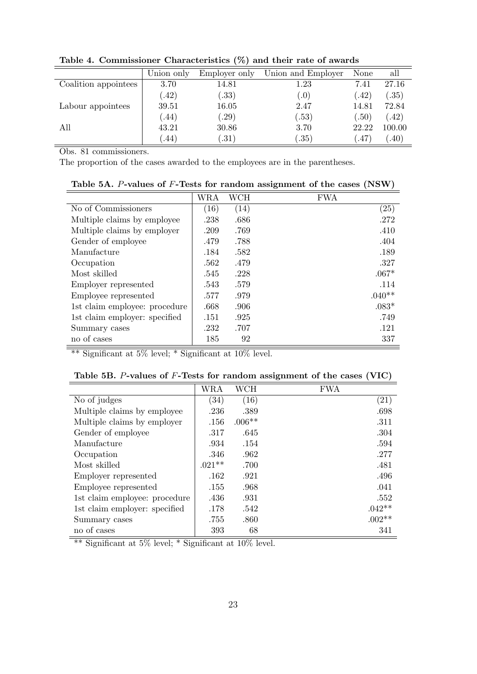|                      | Union only | Employer only | Union and Employer | None  | all    |
|----------------------|------------|---------------|--------------------|-------|--------|
| Coalition appointees | 3.70       | 14.81         | 1.23               | 7.41  | 27.16  |
|                      | (42)       | (.33)         | (0)                | (.42) | (.35)  |
| Labour appointees    | 39.51      | 16.05         | 2.47               | 14.81 | 72.84  |
|                      | (44)       | .29)          | (.53)              | (.50) | (42)   |
| All                  | 43.21      | 30.86         | 3.70               | 22.22 | 100.00 |
|                      | .44)       | .31)          | .35)               | .47   | (.40)  |

**Table 4. Commissioner Characteristics (%) and their rate of awards**

Obs. 81 commissioners.

The proportion of the cases awarded to the employees are in the parentheses.

|                               | WRA  | WCH  | <b>FWA</b>         |
|-------------------------------|------|------|--------------------|
| No of Commissioners           | (16) | (14) | $\left( 25\right)$ |
| Multiple claims by employee   | .238 | .686 | .272               |
| Multiple claims by employer   | .209 | .769 | .410               |
| Gender of employee            | .479 | .788 | .404               |
| Manufacture                   | .184 | .582 | .189               |
| Occupation                    | .562 | .479 | .327               |
| Most skilled                  | .545 | .228 | $.067*$            |
| Employer represented          | .543 | .579 | .114               |
| Employee represented          | .577 | .979 | $.040**$           |
| 1st claim employee: procedure | .668 | .906 | $.083*$            |
| 1st claim employer: specified | .151 | .925 | .749               |
| Summary cases                 | .232 | .707 | .121               |
| no of cases                   | 185  | 92   | 337                |

Table 5A. *P***-values of** *F***<b>-Tests for random assignment of the cases (NSW)** 

 $\sqrt{\frac{1}{1+\frac{1}{\sqrt{1+\frac{1}{\sqrt{1+\frac{1}{\sqrt{1+\frac{1}{\sqrt{1+\frac{1}{\sqrt{1+\frac{1}{\sqrt{1+\frac{1}{\sqrt{1+\frac{1}{\sqrt{1+\frac{1}{\sqrt{1+\frac{1}{\sqrt{1+\frac{1}{\sqrt{1+\frac{1}{\sqrt{1+\frac{1}{\sqrt{1+\frac{1}{\sqrt{1+\frac{1}{\sqrt{1+\frac{1}{\sqrt{1+\frac{1}{\sqrt{1+\frac{1}{\sqrt{1+\frac{1}{\sqrt{1+\frac{1}{\sqrt{1+\frac{1}{\sqrt{1+\frac{1}{\sqrt{1+\frac{1}{\sqrt{1+\frac{1}{$ 

|  |  |  |  |  |  |  | Table 5B. $P$ -values of $F$ -Tests for random assignment of the cases (VIC) |  |  |  |  |
|--|--|--|--|--|--|--|------------------------------------------------------------------------------|--|--|--|--|
|--|--|--|--|--|--|--|------------------------------------------------------------------------------|--|--|--|--|

|                               | WRA      | WCH      | <b>FWA</b>         |
|-------------------------------|----------|----------|--------------------|
| No of judges                  | (34)     | (16)     | $\left( 21\right)$ |
| Multiple claims by employee   | .236     | .389     | .698               |
| Multiple claims by employer   | .156     | $.006**$ | .311               |
| Gender of employee            | .317     | .645     | .304               |
| Manufacture                   | .934     | .154     | .594               |
| Occupation                    | .346     | .962     | .277               |
| Most skilled                  | $.021**$ | .700     | .481               |
| Employer represented          | .162     | .921     | .496               |
| Employee represented          | .155     | .968     | .041               |
| 1st claim employee: procedure | .436     | .931     | .552               |
| 1st claim employer: specified | .178     | .542     | $.042**$           |
| Summary cases                 | .755     | .860     | $.002**$           |
| no of cases                   | 393      | 68       | 341                |

\*\* Significant at 5% level; \* Significant at 10% level.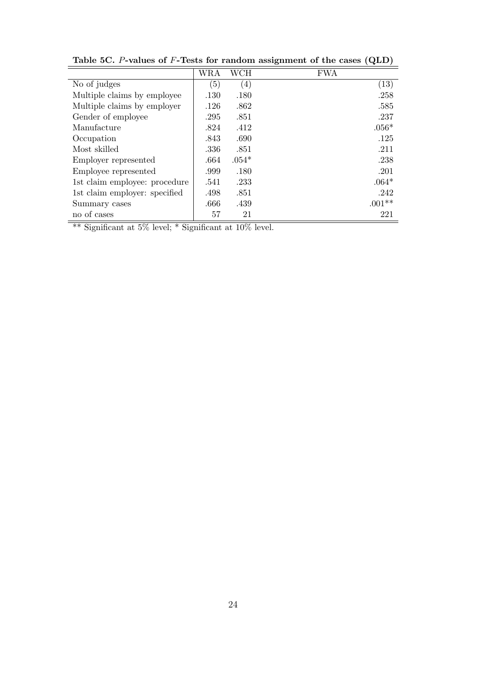|                               | WRA  | WCH               | <b>FWA</b> |
|-------------------------------|------|-------------------|------------|
| No of judges                  | (5)  | $\left( 4\right)$ | (13)       |
| Multiple claims by employee   | .130 | .180              | .258       |
| Multiple claims by employer   | .126 | .862              | .585       |
| Gender of employee            | .295 | .851              | .237       |
| Manufacture                   | .824 | .412              | $.056*$    |
| Occupation                    | .843 | .690              | .125       |
| Most skilled                  | .336 | .851              | .211       |
| Employer represented          | .664 | $.054*$           | .238       |
| Employee represented          | .999 | .180              | .201       |
| 1st claim employee: procedure | .541 | .233              | $.064*$    |
| 1st claim employer: specified | .498 | .851              | .242       |
| Summary cases                 | .666 | .439              | $.001**$   |
| no of cases                   | 57   | 21                | 221        |

**Table 5C.** *P***-values of** *F***-Tests for random assignment of the cases (QLD)**

\*\* Significant at 5% level; \* Significant at 10% level.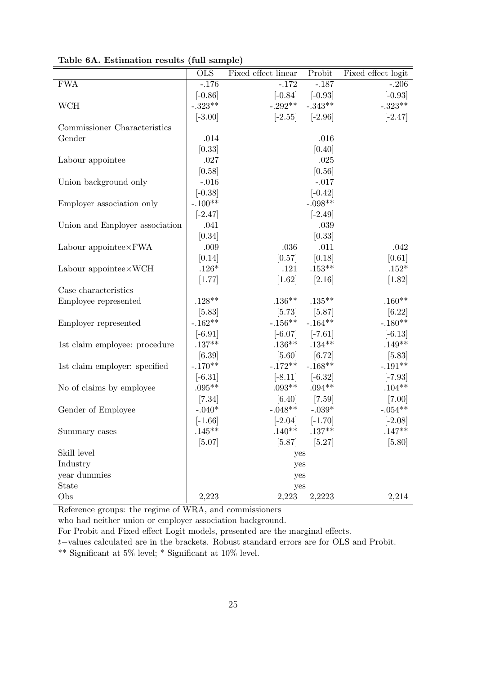|                                | $\overline{\text{OLS}}$ | Fixed effect linear | Probit            | Fixed effect logit |
|--------------------------------|-------------------------|---------------------|-------------------|--------------------|
| <b>FWA</b>                     | $-.176$                 | $-.172$             | $-.187$           | $-.206$            |
|                                | $[-0.86]$               | $[-0.84]$           | $[-0.93]$         | $[-0.93]$          |
| <b>WCH</b>                     | $-.323**$               | $-.292**$           | $-.343**$         | $-.323**$          |
|                                | $[-3.00]$               | $[-2.55]$           | $[-2.96]$         | $[-2.47]$          |
| Commissioner Characteristics   |                         |                     |                   |                    |
| Gender                         | .014                    |                     | .016              |                    |
|                                | [0.33]                  |                     | [0.40]            |                    |
| Labour appointee               | .027                    |                     | .025              |                    |
|                                | [0.58]                  |                     | [0.56]            |                    |
| Union background only          | $-.016$                 |                     | $-.017$           |                    |
|                                | $[-0.38]$               |                     | $[-0.42]$         |                    |
| Employer association only      | $-.100**$               |                     | $-.098**$         |                    |
|                                | $[-2.47]$               |                     | $[-2.49]$         |                    |
| Union and Employer association | .041                    |                     | .039              |                    |
|                                | [0.34]                  |                     | [0.33]            |                    |
| Labour appointee $\times$ FWA  | .009                    | .036                | .011              | .042               |
|                                | [0.14]                  | [0.57]              | [0.18]            | [0.61]             |
| Labour appointee $\times$ WCH  | $.126*$                 | .121                | $.153**$          | $.152*$            |
|                                | [1.77]                  | $[1.62]$            | [2.16]            | [1.82]             |
| Case characteristics           |                         |                     |                   |                    |
| Employee represented           | $.128**$                | $.136***$           | $.135***$         | $.160**$           |
|                                | [5.83]                  | [5.73]              | $[5.87]$          | $[6.22]$           |
| Employer represented           | $-.162**$               | $-.156**$           | $-.164**$         | $-.180**$          |
|                                | $[-6.91]$               | $[-6.07]$           | $[-7.61]$         | $[-6.13]$          |
| 1st claim employee: procedure  | $.137**$                | $.136**$            | $.134***$         | $.149**$           |
|                                | [6.39]                  | $[5.60]$            | $[6.72]$          | [5.83]             |
| 1st claim employer: specified  | $-.170**$               | $-.172**$           | $-.168**$         | $-.191**$          |
|                                | $[-6.31]$               | $[-8.11]$           | $[-6.32]$         | $[-7.93]$          |
| No of claims by employee       | $.095**$                | $.093**$            | $.094**$          | $.104**$           |
|                                | $[7.34]$                | [6.40]              | $[7.59]$          | $[7.00]$           |
| Gender of Employee             | $-.040*$                | $-.048**$           | $-.039*$          | $-.054**$          |
|                                | $[-1.66]$               | $[-2.04]$           | $[-1.70]$         | $[-2.08]$          |
| Summary cases                  | $.145**$                |                     | $.140**$ $.137**$ | $.147**$           |
|                                | [5.07]                  | [5.87]              | [5.27]            | [5.80]             |
| Skill level                    |                         | yes                 |                   |                    |
| Industry                       |                         | yes                 |                   |                    |
| year dummies                   |                         | yes                 |                   |                    |
| State                          |                         | yes                 |                   |                    |
| Obs                            | 2,223                   | 2,223               | 2,2223            | 2,214              |

**Table 6A. Estimation results (full sample)**

Reference groups: the regime of WRA, and commissioners

who had neither union or employer association background.

For Probit and Fixed effect Logit models, presented are the marginal effects.

*t−*values calculated are in the brackets. Robust standard errors are for OLS and Probit.

 $^{**}$  Significant at 5% level;  $^*$  Significant at 10% level.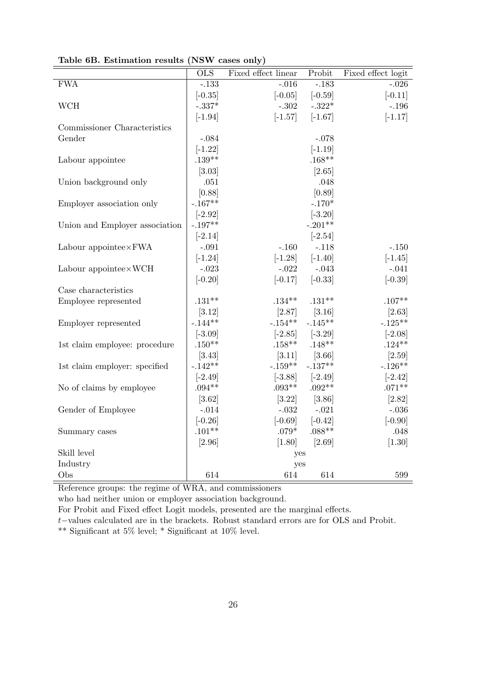|                                | <b>OLS</b> | Fixed effect linear | Probit    | Fixed effect logit |
|--------------------------------|------------|---------------------|-----------|--------------------|
| <b>FWA</b>                     | $-.133$    | $-.016$             | $-183$    | $-.026$            |
|                                | $[-0.35]$  | $[-0.05]$           | $[-0.59]$ | $[-0.11]$          |
| <b>WCH</b>                     | $-.337*$   | $-.302$             | $-.322*$  | $-.196$            |
|                                | $[-1.94]$  | $[-1.57]$           | $[-1.67]$ | $[-1.17]$          |
| Commissioner Characteristics   |            |                     |           |                    |
| Gender                         | $-.084$    |                     | $-.078$   |                    |
|                                | $[-1.22]$  |                     | $[-1.19]$ |                    |
| Labour appointee               | $.139**$   |                     | $.168**$  |                    |
|                                | [3.03]     |                     | [2.65]    |                    |
| Union background only          | .051       |                     | .048      |                    |
|                                | [0.88]     |                     | [0.89]    |                    |
| Employer association only      | $-.167**$  |                     | $-.170*$  |                    |
|                                | $[-2.92]$  |                     | $[-3.20]$ |                    |
| Union and Employer association | $-.197**$  |                     | $-.201**$ |                    |
|                                | $[-2.14]$  |                     | $[-2.54]$ |                    |
| Labour appointee×FWA           | $-.091$    | $-.160$             | $-.118$   | $-.150$            |
|                                | $[-1.24]$  | $[-1.28]$           | $[-1.40]$ | $[-1.45]$          |
| Labour appointee×WCH           | $-.023$    | $-.022$             | $-.043$   | $-.041$            |
|                                | $[-0.20]$  | $[-0.17]$           | $[-0.33]$ | $[-0.39]$          |
| Case characteristics           |            |                     |           |                    |
| Employee represented           | $.131**$   | $.134***$           | $.131**$  | $.107**$           |
|                                | [3.12]     | [2.87]              | [3.16]    | [2.63]             |
| Employer represented           | $-.144**$  | $-.154**$           | $-.145**$ | $-.125**$          |
|                                | $[-3.09]$  | $[-2.85]$           | $[-3.29]$ | $[-2.08]$          |
| 1st claim employee: procedure  | $.150**$   | $.158***$           | $.148**$  | $.124**$           |
|                                | [3.43]     | [3.11]              | [3.66]    | [2.59]             |
| 1st claim employer: specified  | $-.142**$  | $-.159**$           | $-.137**$ | $-.126**$          |
|                                | $[-2.49]$  | $[-3.88]$           | $[-2.49]$ | $[-2.42]$          |
| No of claims by employee       | $.094**$   | $.093**$            | $.092**$  | $.071**$           |
|                                | [3.62]     | [3.22]              | [3.86]    | [2.82]             |
| Gender of Employee             | $-.014$    | $-.032$             | $-.021$   | $-.036$            |
|                                | $[-0.26]$  | $[-0.69]$           | $[-0.42]$ | $[-0.90]$          |
| Summary cases                  | $.101**$   | $.079*$             | $.088**$  | .048               |
|                                | [2.96]     | $[1.80]$            | [2.69]    | $[1.30]$           |
| Skill level                    |            | yes                 |           |                    |
| Industry                       |            | yes                 |           |                    |
| Obs                            | 614        | 614                 | 614       | 599                |

**Table 6B. Estimation results (NSW cases only)**

Reference groups: the regime of WRA, and commissioners

who had neither union or employer association background.

For Probit and Fixed effect Logit models, presented are the marginal effects.

*t−*values calculated are in the brackets. Robust standard errors are for OLS and Probit.

\*\* Significant at 5% level; \* Significant at 10% level.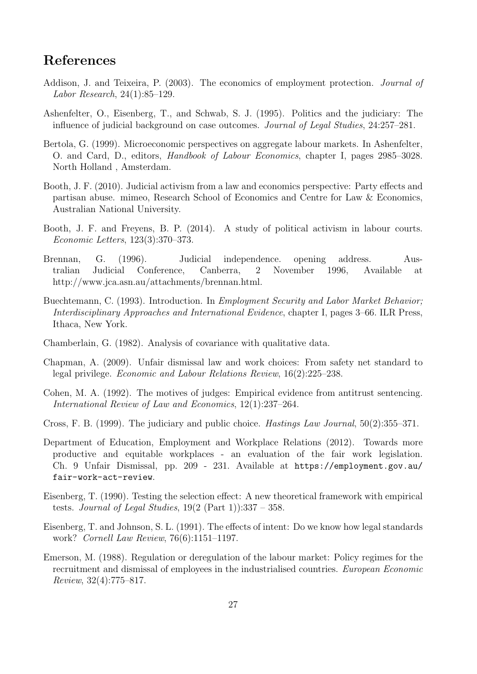# **References**

- Addison, J. and Teixeira, P. (2003). The economics of employment protection. *Journal of Labor Research*, 24(1):85–129.
- Ashenfelter, O., Eisenberg, T., and Schwab, S. J. (1995). Politics and the judiciary: The influence of judicial background on case outcomes. *Journal of Legal Studies*, 24:257–281.
- Bertola, G. (1999). Microeconomic perspectives on aggregate labour markets. In Ashenfelter, O. and Card, D., editors, *Handbook of Labour Economics*, chapter I, pages 2985–3028. North Holland , Amsterdam.
- Booth, J. F. (2010). Judicial activism from a law and economics perspective: Party effects and partisan abuse. mimeo, Research School of Economics and Centre for Law & Economics, Australian National University.
- Booth, J. F. and Freyens, B. P. (2014). A study of political activism in labour courts. *Economic Letters*, 123(3):370–373.
- Brennan, G. (1996). Judicial independence. opening address. Australian Judicial Conference, Canberra, 2 November 1996, Available at http://www.jca.asn.au/attachments/brennan.html.
- Buechtemann, C. (1993). Introduction. In *Employment Security and Labor Market Behavior; Interdisciplinary Approaches and International Evidence*, chapter I, pages 3–66. ILR Press, Ithaca, New York.
- Chamberlain, G. (1982). Analysis of covariance with qualitative data.
- Chapman, A. (2009). Unfair dismissal law and work choices: From safety net standard to legal privilege. *Economic and Labour Relations Review*, 16(2):225–238.
- Cohen, M. A. (1992). The motives of judges: Empirical evidence from antitrust sentencing. *International Review of Law and Economics*, 12(1):237–264.
- Cross, F. B. (1999). The judiciary and public choice. *Hastings Law Journal*, 50(2):355–371.
- Department of Education, Employment and Workplace Relations (2012). Towards more productive and equitable workplaces - an evaluation of the fair work legislation. Ch. 9 Unfair Dismissal, pp. 209 - 231. Available at https://employment.gov.au/ fair-work-act-review.
- Eisenberg, T. (1990). Testing the selection effect: A new theoretical framework with empirical tests. *Journal of Legal Studies*, 19(2 (Part 1)):337 – 358.
- Eisenberg, T. and Johnson, S. L. (1991). The effects of intent: Do we know how legal standards work? *Cornell Law Review*, 76(6):1151–1197.
- Emerson, M. (1988). Regulation or deregulation of the labour market: Policy regimes for the recruitment and dismissal of employees in the industrialised countries. *European Economic Review*, 32(4):775–817.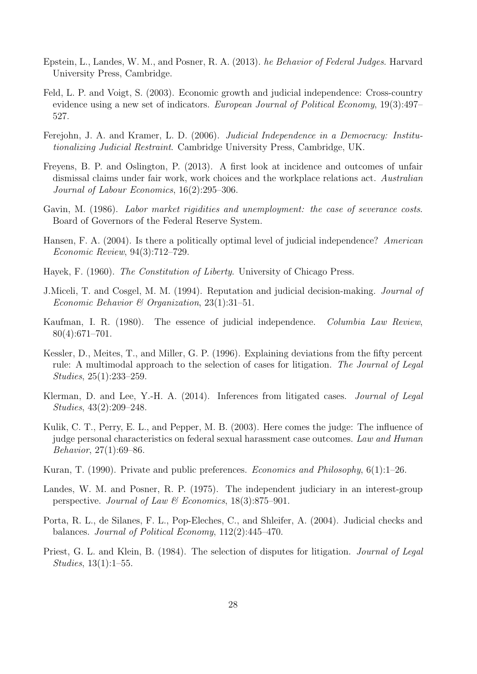- Epstein, L., Landes, W. M., and Posner, R. A. (2013). *he Behavior of Federal Judges*. Harvard University Press, Cambridge.
- Feld, L. P. and Voigt, S. (2003). Economic growth and judicial independence: Cross-country evidence using a new set of indicators. *European Journal of Political Economy*, 19(3):497– 527.
- Ferejohn, J. A. and Kramer, L. D. (2006). *Judicial Independence in a Democracy: Institutionalizing Judicial Restraint*. Cambridge University Press, Cambridge, UK.
- Freyens, B. P. and Oslington, P. (2013). A first look at incidence and outcomes of unfair dismissal claims under fair work, work choices and the workplace relations act. *Australian Journal of Labour Economics*, 16(2):295–306.
- Gavin, M. (1986). *Labor market rigidities and unemployment: the case of severance costs*. Board of Governors of the Federal Reserve System.
- Hansen, F. A. (2004). Is there a politically optimal level of judicial independence? *American Economic Review*, 94(3):712–729.
- Hayek, F. (1960). *The Constitution of Liberty*. University of Chicago Press.
- J.Miceli, T. and Cosgel, M. M. (1994). Reputation and judicial decision-making. *Journal of Economic Behavior & Organization*, 23(1):31–51.
- Kaufman, I. R. (1980). The essence of judicial independence. *Columbia Law Review*, 80(4):671–701.
- Kessler, D., Meites, T., and Miller, G. P. (1996). Explaining deviations from the fifty percent rule: A multimodal approach to the selection of cases for litigation. *The Journal of Legal Studies*, 25(1):233–259.
- Klerman, D. and Lee, Y.-H. A. (2014). Inferences from litigated cases. *Journal of Legal Studies*, 43(2):209–248.
- Kulik, C. T., Perry, E. L., and Pepper, M. B. (2003). Here comes the judge: The influence of judge personal characteristics on federal sexual harassment case outcomes. *Law and Human Behavior*, 27(1):69–86.
- Kuran, T. (1990). Private and public preferences. *Economics and Philosophy*, 6(1):1–26.
- Landes, W. M. and Posner, R. P. (1975). The independent judiciary in an interest-group perspective. *Journal of Law & Economics*, 18(3):875–901.
- Porta, R. L., de Silanes, F. L., Pop-Eleches, C., and Shleifer, A. (2004). Judicial checks and balances. *Journal of Political Economy*, 112(2):445–470.
- Priest, G. L. and Klein, B. (1984). The selection of disputes for litigation. *Journal of Legal Studies*, 13(1):1–55.